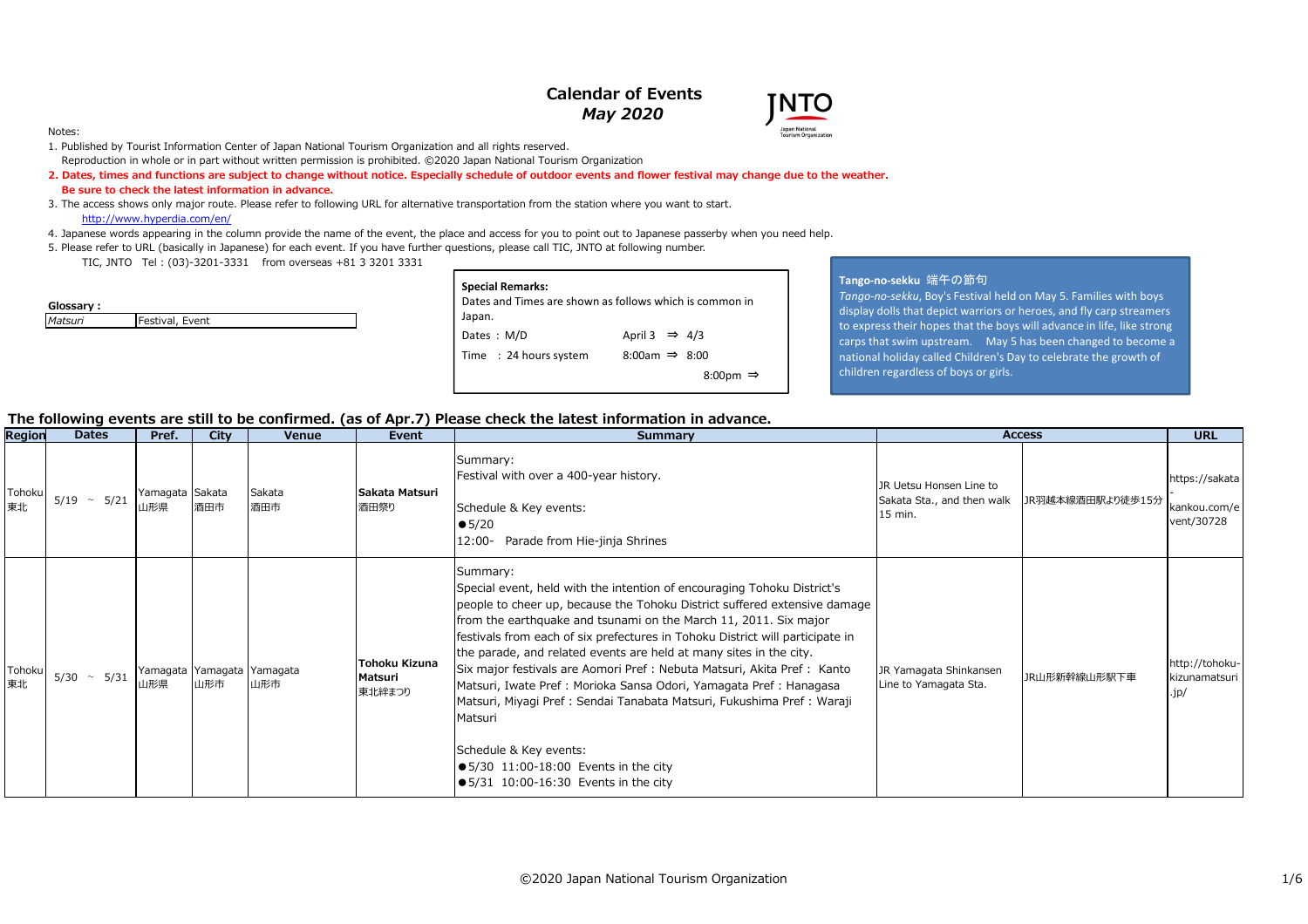# **Calendar of Events***May 2020*



#### Notes:

- 1. Published by Tourist Information Center of Japan National Tourism Organization and all rights reserved. Reproduction in whole or in part without written permission is prohibited. ©2020 Japan National Tourism Organization
- **2. Dates, times and functions are subject to change without notice. Especially schedule of outdoor events and flower festival may change due to the weather. Be sure to check the latest information in advance.**
- 3. The access shows only major route. Please refer to following URL for alternative transportation from the station where you want to start.http://www.hyperdia.com/en/
- 4. Japanese words appearing in the column provide the name of the event, the place and access for you to point out to Japanese passerby when you need help.
- 5. Please refer to URL (basically in Japanese) for each event. If you have further questions, please call TIC, JNTO at following number.
	- TIC, JNTO Tel : (03)-3201-3331 from overseas +81 3 3201 3331

| Glossary : |                 |
|------------|-----------------|
| Matsuri    | Festival, Event |

| <b>Special Remarks:</b>                                 |                           |  |  |  |  |  |  |  |  |  |  |
|---------------------------------------------------------|---------------------------|--|--|--|--|--|--|--|--|--|--|
| Dates and Times are shown as follows which is common in |                           |  |  |  |  |  |  |  |  |  |  |
|                                                         |                           |  |  |  |  |  |  |  |  |  |  |
| Japan.<br>Dates: M/D                                    | April 3 $\Rightarrow$ 4/3 |  |  |  |  |  |  |  |  |  |  |
| Time : 24 hours system                                  | 8:00am $\Rightarrow$ 8:00 |  |  |  |  |  |  |  |  |  |  |
|                                                         | 8:00pm $\Rightarrow$      |  |  |  |  |  |  |  |  |  |  |

#### **Tango-no-sekku** 端午の節句

 *Tango-no-sekku*, Boy's Festival held on May 5. Families with boys display dolls that depict warriors or heroes, and fly carp streamers to express their hopes that the boys will advance in life, like strong carps that swim upstream. May 5 has been changed to become a national holiday called Children's Day to celebrate the growth of children regardless of boys or girls.

### **The following events are still to be confirmed. (as of Apr.7) Please check the latest information in advance.**

| Region       | <b>Dates</b>           | Pref.                  | City                              | <b>Venue</b>  | Event                                     | <b>Summary</b>                                                                                                                                                                                                                                                                                                                                                                                                                                                                                                                                                                                                                                                                                                                                                   | <b>Access</b>                                                                        | <b>URL</b>                                     |
|--------------|------------------------|------------------------|-----------------------------------|---------------|-------------------------------------------|------------------------------------------------------------------------------------------------------------------------------------------------------------------------------------------------------------------------------------------------------------------------------------------------------------------------------------------------------------------------------------------------------------------------------------------------------------------------------------------------------------------------------------------------------------------------------------------------------------------------------------------------------------------------------------------------------------------------------------------------------------------|--------------------------------------------------------------------------------------|------------------------------------------------|
| Tohoku<br>東北 | 5/21<br>5/19<br>$\sim$ | Yamagata Sakata<br>山形県 | 酒田市                               | Sakata<br>酒田市 | Sakata Matsuri<br>酒田祭り                    | Summary:<br>Festival with over a 400-year history.<br>Schedule & Key events:<br>$\bullet$ 5/20<br>12:00- Parade from Hie-jinja Shrines                                                                                                                                                                                                                                                                                                                                                                                                                                                                                                                                                                                                                           | JR Uetsu Honsen Line to<br>Sakata Sta., and then walk<br>JR羽越本線酒田駅より徒歩15分<br>15 min. | https://sakata<br>kankou.com/e<br>vent/30728   |
| Tohoku<br>東北 | 5/31<br>5/30 $\sim$    | 山形県                    | Yamagata Yamagata Yamagata<br>山形市 | 山形市           | <b>Tohoku Kizuna</b><br>Matsuri<br>東北絆まつり | Summary:<br>Special event, held with the intention of encouraging Tohoku District's<br>people to cheer up, because the Tohoku District suffered extensive damage<br>from the earthquake and tsunami on the March 11, 2011. Six major<br>festivals from each of six prefectures in Tohoku District will participate in<br>the parade, and related events are held at many sites in the city.<br>Six major festivals are Aomori Pref : Nebuta Matsuri, Akita Pref : Kanto<br>Matsuri, Iwate Pref : Morioka Sansa Odori, Yamagata Pref : Hanagasa<br>Matsuri, Miyagi Pref : Sendai Tanabata Matsuri, Fukushima Pref : Waraji<br>Matsuri<br>Schedule & Key events:<br>$\bullet$ 5/30 11:00-18:00 Events in the city<br>$\bullet$ 5/31 10:00-16:30 Events in the city | JR Yamagata Shinkansen<br>JR山形新幹線山形駅下車<br>Line to Yamagata Sta.                      | http://tohoku-<br>kizunamatsuri<br>$\cdot$ jp/ |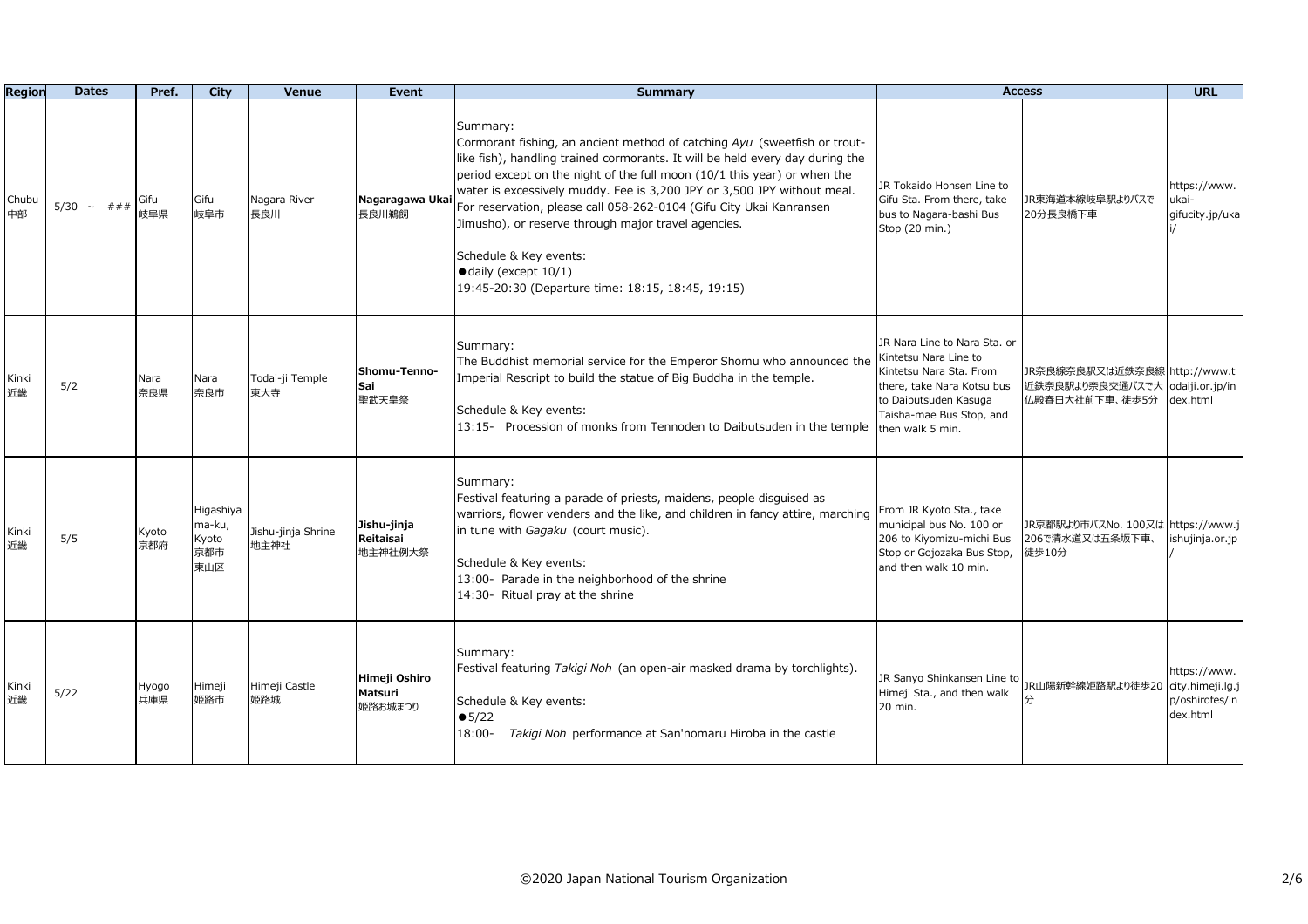| Region      | <b>Dates</b>      | Pref.        | City                                       | Venue                      | Event                               | <b>Summary</b>                                                                                                                                                                                                                                                                                                                                                                                                                                                                                                                                                              | <b>Access</b>                                                                                                                                                                           |                                                                   | <b>URL</b>                                                     |
|-------------|-------------------|--------------|--------------------------------------------|----------------------------|-------------------------------------|-----------------------------------------------------------------------------------------------------------------------------------------------------------------------------------------------------------------------------------------------------------------------------------------------------------------------------------------------------------------------------------------------------------------------------------------------------------------------------------------------------------------------------------------------------------------------------|-----------------------------------------------------------------------------------------------------------------------------------------------------------------------------------------|-------------------------------------------------------------------|----------------------------------------------------------------|
| Chubu<br>中部 | $5/30 \sim # # #$ | Gifu<br>岐阜県  | Gifu<br>岐阜市                                | Nagara River<br>長良川        | Nagaragawa Uka<br>長良川鵜飼             | Summary:<br>Cormorant fishing, an ancient method of catching Ayu (sweetfish or trout-<br>like fish), handling trained cormorants. It will be held every day during the<br>period except on the night of the full moon (10/1 this year) or when the<br>water is excessively muddy. Fee is 3,200 JPY or 3,500 JPY without meal.<br>For reservation, please call 058-262-0104 (Gifu City Ukai Kanransen<br>Jimusho), or reserve through major travel agencies.<br>Schedule & Key events:<br>$\bullet$ daily (except 10/1)<br>19:45-20:30 (Departure time: 18:15, 18:45, 19:15) | JR Tokaido Honsen Line to<br>Gifu Sta. From there, take<br>bus to Nagara-bashi Bus<br>Stop (20 min.)                                                                                    | JR東海道本線岐阜駅よりバスで<br>20分長良橋下車                                       | https://www.<br>ukai-<br>gifucity.jp/uka                       |
| Kinki<br>近畿 | 5/2               | Nara<br>奈良県  | Nara<br>奈良市                                | Todai-ji Temple<br>東大寺     | Shomu-Tenno-<br>Sai<br>聖武天皇祭        | Summary:<br>The Buddhist memorial service for the Emperor Shomu who announced the<br>Imperial Rescript to build the statue of Big Buddha in the temple.<br>Schedule & Key events:<br>13:15- Procession of monks from Tennoden to Daibutsuden in the temple                                                                                                                                                                                                                                                                                                                  | JR Nara Line to Nara Sta, or<br>Kintetsu Nara Line to<br>Kintetsu Nara Sta, From<br>there, take Nara Kotsu bus<br>to Daibutsuden Kasuga<br>Taisha-mae Bus Stop, and<br>then walk 5 min. | JR奈良線奈良駅又は近鉄奈良線 http://www.t<br>近鉄奈良駅より奈良交通バスで大<br>仏殿春日大社前下車、徒歩5分 | odaiji.or.jp/in<br>dex.html                                    |
| Kinki<br>近畿 | 5/5               | Kyoto<br>京都府 | Higashiya<br>ma-ku,<br>Kyoto<br>京都市<br>東山区 | Jishu-jinja Shrine<br>地主神社 | Jishu-jinja<br>Reitaisai<br>地主神社例大祭 | Summary:<br>Festival featuring a parade of priests, maidens, people disguised as<br>warriors, flower venders and the like, and children in fancy attire, marching<br>in tune with Gagaku (court music).<br>Schedule & Key events:<br>13:00- Parade in the neighborhood of the shrine<br>14:30- Ritual pray at the shrine                                                                                                                                                                                                                                                    | From JR Kyoto Sta., take<br>municipal bus No. 100 or<br>206 to Kiyomizu-michi Bus<br>Stop or Gojozaka Bus Stop,<br>and then walk 10 min.                                                | JR京都駅より市バスNo. 100又は https://www.j<br>206で清水道又は五条坂下車、<br>徒歩10分     | ishujinja.or.jp                                                |
| Kinki<br>近畿 | 5/22              | Hyogo<br>兵庫県 | Himeji<br>姫路市                              | Himeji Castle<br>姫路城       | Himeji Oshiro<br>Matsuri<br>姫路お城まつり | Summary:<br>Festival featuring Takigi Noh (an open-air masked drama by torchlights).<br>Schedule & Key events:<br>• 5/22<br>$18:00-$<br>Takigi Noh performance at San'nomaru Hiroba in the castle                                                                                                                                                                                                                                                                                                                                                                           | JR Sanyo Shinkansen Line to<br>Himeji Sta., and then walk<br>20 min.                                                                                                                    | JR山陽新幹線姫路駅より徒歩20<br>分                                             | https://www.<br>city.himeji.lg.j<br>p/oshirofes/in<br>dex.html |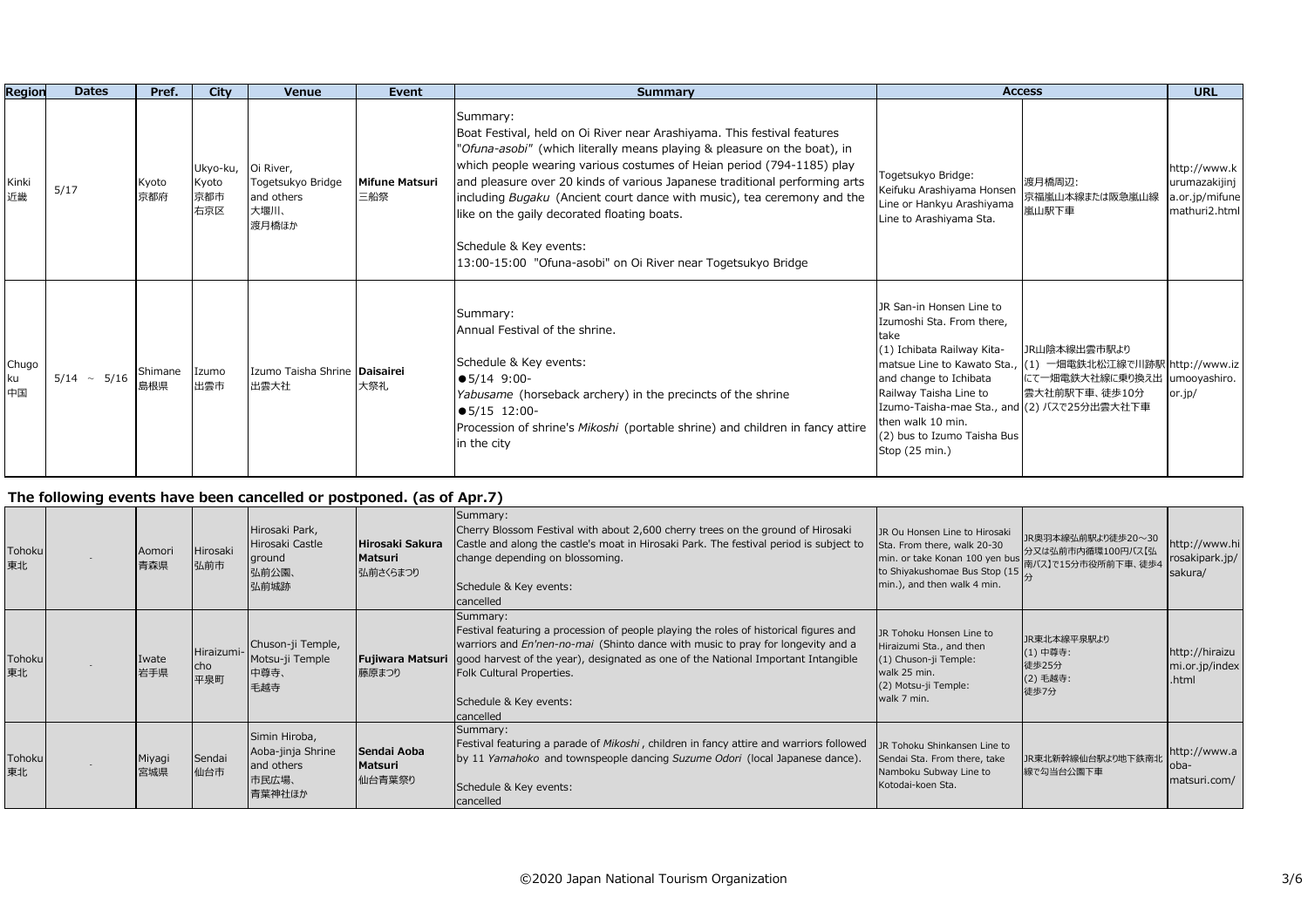| Region            | <b>Dates</b>     | Pref.          | City                                      | Venue                                            | Event                        | Summary                                                                                                                                                                                                                                                                                                                                                                                                                                                                                                                                           |                                                                                                                                                                                                                                                                                                     | <b>Access</b>                                                                                   | <b>URL</b>                                                       |
|-------------------|------------------|----------------|-------------------------------------------|--------------------------------------------------|------------------------------|---------------------------------------------------------------------------------------------------------------------------------------------------------------------------------------------------------------------------------------------------------------------------------------------------------------------------------------------------------------------------------------------------------------------------------------------------------------------------------------------------------------------------------------------------|-----------------------------------------------------------------------------------------------------------------------------------------------------------------------------------------------------------------------------------------------------------------------------------------------------|-------------------------------------------------------------------------------------------------|------------------------------------------------------------------|
| Kinki<br>近畿       | 5/17             | Kyoto<br>京都府   | Ukyo-ku, Oi River,<br>Kyoto<br>京都市<br>右京区 | Togetsukyo Bridge<br>and others<br>大堰川、<br>渡月橋ほか | <b>Mifune Matsuri</b><br>三船祭 | Summary:<br>Boat Festival, held on Oi River near Arashiyama. This festival features<br>"Ofuna-asobi" (which literally means playing & pleasure on the boat), in<br>which people wearing various costumes of Heian period (794-1185) play<br>and pleasure over 20 kinds of various Japanese traditional performing arts<br>including <i>Bugaku</i> (Ancient court dance with music), tea ceremony and the<br>like on the gaily decorated floating boats.<br>Schedule & Key events:<br>13:00-15:00 "Ofuna-asobi" on Oi River near Togetsukyo Bridge | Togetsukyo Bridge:<br>Keifuku Arashiyama Honsen<br>Line or Hankyu Arashiyama<br>Line to Arashiyama Sta.                                                                                                                                                                                             | 渡月橋周辺:<br>京福嵐山本線または阪急嵐山線<br>嵐山駅下車                                                               | http://www.k<br>urumazakijinj<br>a.or.jp/mifune<br>mathuri2.html |
| Chugo<br>ku<br>中国 | $5/14 \sim 5/16$ | Shimane<br>島根県 | Izumo<br>出雲市                              | Izumo Taisha Shrine <b>Daisairei</b><br>出雲大社     | 大祭礼                          | Summary:<br>Annual Festival of the shrine.<br>Schedule & Key events:<br>$\bullet$ 5/14 9:00-<br><i>Yabusame</i> (horseback archery) in the precincts of the shrine<br>$\bullet$ 5/15 12:00-<br>Procession of shrine's Mikoshi (portable shrine) and children in fancy attire<br>in the city                                                                                                                                                                                                                                                       | JR San-in Honsen Line to<br>Izumoshi Sta. From there,<br>take<br>(1) Ichibata Railway Kita-<br>matsue Line to Kawato Sta.,<br>and change to Ichibata<br>Railway Taisha Line to<br>Izumo-Taisha-mae Sta., and (2) バスで25分出雲大社下車<br>then walk 10 min.<br>(2) bus to Izumo Taisha Bus<br>Stop (25 min.) | JR山陰本線出雲市駅より<br>(1) 一畑電鉄北松江線で川跡駅 http://www.iz<br>にて一畑電鉄大社線に乗り換え出 umooyashiro.<br>雲大社前駅下車、徒歩10分 | or.jp/                                                           |

### **The following events have been cancelled or postponed. (as of Apr.7)**

| Tohoku<br>東北 | Aomori<br>青森県 | Hirosaki<br>弘前市          | Hirosaki Park,<br>Hirosaki Castle<br>ground<br>弘前公園、<br>弘前城跡        | Hirosaki Sakura<br>Matsuri<br> 弘前さくらまつり | Summary:<br>Cherry Blossom Festival with about 2,600 cherry trees on the ground of Hirosaki<br>Castle and along the castle's moat in Hirosaki Park. The festival period is subject to<br>change depending on blossoming.<br>Schedule & Key events:<br>cancelled                                                                                                       | JR Ou Honsen Line to Hirosaki<br>Sta. From there, walk 20-30<br>to Shiyakushomae Bus Stop (15<br>min.), and then walk 4 min.         | JR奥羽本線弘前駅より徒歩20~30<br>分又は弘前市内循環100円バス【弘              | http://www.hi<br>rosakipark.jp/<br>sakura/ |
|--------------|---------------|--------------------------|---------------------------------------------------------------------|-----------------------------------------|-----------------------------------------------------------------------------------------------------------------------------------------------------------------------------------------------------------------------------------------------------------------------------------------------------------------------------------------------------------------------|--------------------------------------------------------------------------------------------------------------------------------------|------------------------------------------------------|--------------------------------------------|
| Tohoku<br>東北 | Iwate<br>岩手県  | Hiraizumi-<br>cho<br>平泉町 | Chuson-ji Temple,<br>Motsu-ji Temple<br>中尊寺、<br>毛越寺                 | 藤原まつり                                   | Summary:<br>Festival featuring a procession of people playing the roles of historical figures and<br>warriors and En'nen-no-mai (Shinto dance with music to pray for longevity and a<br><b>Fujiwara Matsuri</b> good harvest of the year), designated as one of the National Important Intangible<br>Folk Cultural Properties.<br>Schedule & Key events:<br>cancelled | JR Tohoku Honsen Line to<br>Hiraizumi Sta., and then<br>(1) Chuson-ji Temple:<br>walk 25 min.<br>(2) Motsu-ji Temple:<br>walk 7 min. | JR東北本線平泉駅より<br>(1) 中尊寺:<br>徒歩25分<br>(2) 毛越寺:<br>徒歩7分 | http://hiraizu<br>mi.or.jp/index<br>.html  |
| Tohoku<br>東北 | Miyagi<br>宮城県 | Sendai<br>仙台市            | Simin Hiroba,<br>Aoba-jinja Shrine<br>and others<br>市民広場、<br>青葉神社ほか | Sendai Aoba<br>Matsuri<br>仙台青葉祭り        | Summary:<br>Festival featuring a parade of Mikoshi, children in fancy attire and warriors followed<br>by 11 Yamahoko and townspeople dancing Suzume Odori (local Japanese dance).<br>Schedule & Key events:<br>cancelled                                                                                                                                              | JR Tohoku Shinkansen Line to<br>Sendai Sta. From there, take<br>Namboku Subway Line to<br>Kotodai-koen Sta.                          | JR東北新幹線仙台駅より地下鉄南北<br>線で勾当台公園下車                       | http://www.a<br>loba-<br>matsuri.com/      |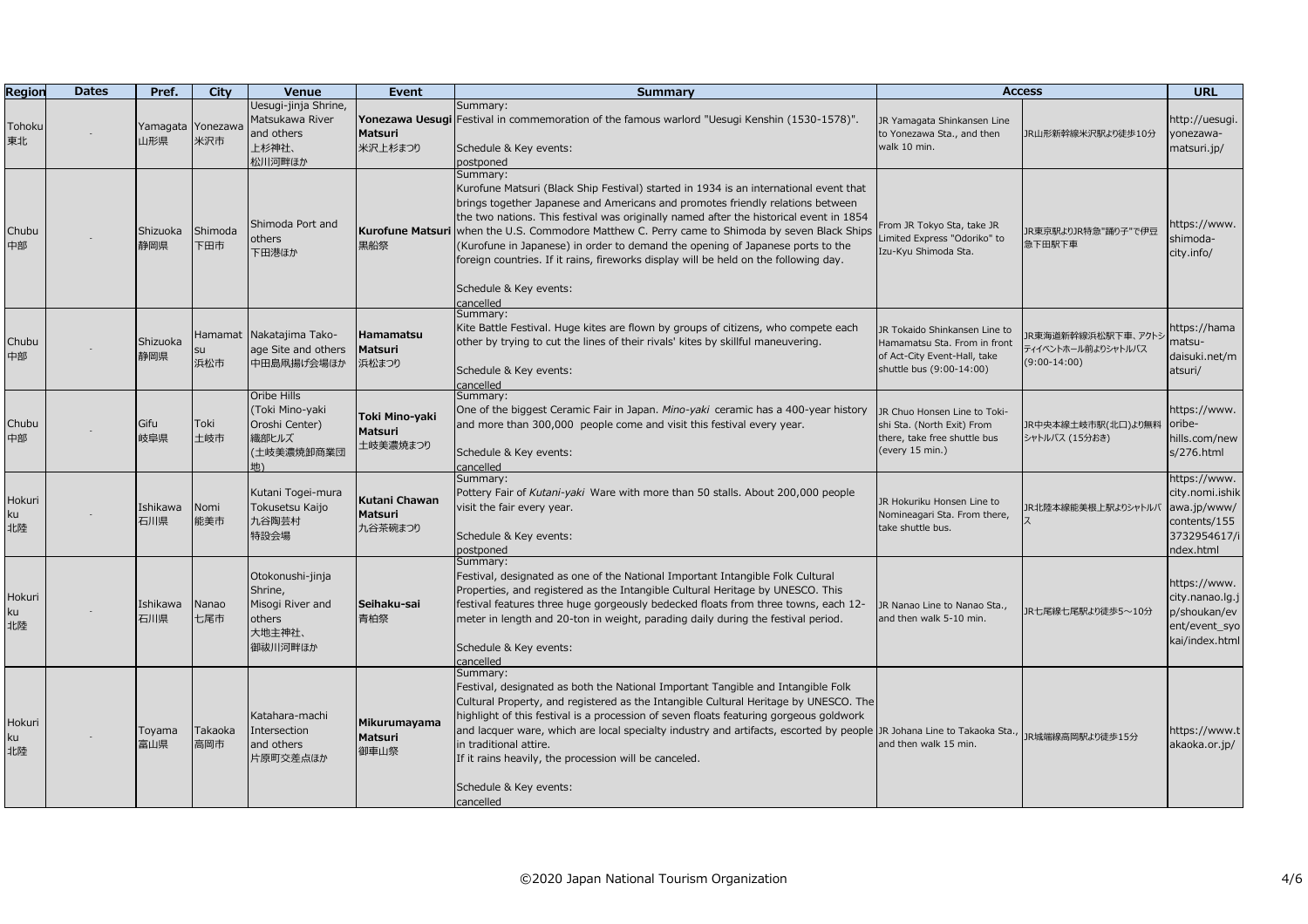| Region             | <b>Dates</b> | Pref.           | City            | <b>Venue</b>                                                                   | Event                                       | Summary                                                                                                                                                                                                                                                                                                                                                                                                                                                                                                                                                                                    | <b>Access</b>                                                                                                             |                                                            | <b>URL</b>                                                                                 |
|--------------------|--------------|-----------------|-----------------|--------------------------------------------------------------------------------|---------------------------------------------|--------------------------------------------------------------------------------------------------------------------------------------------------------------------------------------------------------------------------------------------------------------------------------------------------------------------------------------------------------------------------------------------------------------------------------------------------------------------------------------------------------------------------------------------------------------------------------------------|---------------------------------------------------------------------------------------------------------------------------|------------------------------------------------------------|--------------------------------------------------------------------------------------------|
| Tohoku<br>東北       |              | Yamagata<br>山形県 | Yonezawa<br>米沢市 | Uesugi-jinja Shrine,<br>Matsukawa River<br>and others<br>上杉神社、<br>松川河畔ほか       | <b>Matsuri</b><br>米沢上杉まつり                   | Summary:<br>Yonezawa Uesugi Festival in commemoration of the famous warlord "Uesugi Kenshin (1530-1578)".<br>Schedule & Key events:<br>postponed                                                                                                                                                                                                                                                                                                                                                                                                                                           | JR Yamagata Shinkansen Line<br>to Yonezawa Sta., and then<br>walk 10 min.                                                 | JR山形新幹線米沢駅より徒歩10分                                          | nttp://uesugi.<br>yonezawa-<br>matsuri.jp/                                                 |
| Chubu<br>中部        |              | Shizuoka<br>静岡県 | Shimoda<br>下田市  | Shimoda Port and<br>others<br>下田港ほか                                            | 黒船祭                                         | Summary:<br>Kurofune Matsuri (Black Ship Festival) started in 1934 is an international event that<br>brings together Japanese and Americans and promotes friendly relations between<br>the two nations. This festival was originally named after the historical event in 1854<br><b>Kurofune Matsuri</b> when the U.S. Commodore Matthew C. Perry came to Shimoda by seven Black Ships<br>(Kurofune in Japanese) in order to demand the opening of Japanese ports to the<br>foreign countries. If it rains, fireworks display will be held on the following day.<br>Schedule & Key events: | From JR Tokyo Sta, take JR<br>Limited Express "Odoriko" to<br>Izu-Kyu Shimoda Sta.                                        | JR東京駅よりJR特急"踊り子"で伊豆<br>急下田駅下車                              | ittps://www.<br>shimoda-<br>city.info/                                                     |
| Chubu<br>中部        |              | Shizuoka<br>静岡県 | su<br>浜松市       | Hamamat  Nakatajima Tako-<br>age Site and others<br>中田島凧揚げ会場ほか                 | <b>Hamamatsu</b><br><b>Matsuri</b><br>浜松まつり | cancelled<br>Summary:<br>Kite Battle Festival. Huge kites are flown by groups of citizens, who compete each<br>other by trying to cut the lines of their rivals' kites by skillful maneuvering.<br>Schedule & Key events:<br>cancelled                                                                                                                                                                                                                                                                                                                                                     | JR Tokaido Shinkansen Line to<br>Hamamatsu Sta. From in front<br>of Act-City Event-Hall, take<br>shuttle bus (9:00-14:00) | IR東海道新幹線浜松駅下車、アクトシ<br>ティイベントホール前よりシャトルバス<br>$(9:00-14:00)$ | nttps://hama<br>natsu-<br>daisuki.net/m<br>atsuri/                                         |
| Chubu<br>中部        |              | Gifu<br>岐阜県     | Toki<br>土岐市     | Oribe Hills<br>(Toki Mino-yaki<br>Oroshi Center)<br>織部ヒルズ<br>(土岐美濃焼卸商業団<br>地)  | Toki Mino-yaki<br>Matsuri<br>土岐美濃焼まつり       | Summary:<br>One of the biggest Ceramic Fair in Japan. Mino-yaki ceramic has a 400-year history<br>and more than 300,000 people come and visit this festival every year.<br>Schedule & Key events:<br>cancelled                                                                                                                                                                                                                                                                                                                                                                             | JR Chuo Honsen Line to Toki-<br>shi Sta. (North Exit) From<br>there, take free shuttle bus<br>(every 15 min.)             | JR中央本線土岐市駅(北口)より無料<br>シャトルバス (15分おき)                       | https://www.<br>oribe-<br>hills.com/new<br>s/276.html                                      |
| Hokuri<br>ku<br>北陸 |              | Ishikawa<br>石川県 | Nomi<br>能美市     | Kutani Togei-mura<br>Tokusetsu Kaijo<br>九谷陶芸村<br>特設会場                          | Kutani Chawan<br><b>Matsuri</b><br>九谷茶碗まつり  | Summary:<br>Pottery Fair of Kutani-yaki Ware with more than 50 stalls. About 200,000 people<br>visit the fair every year.<br>Schedule & Key events:<br>postponed                                                                                                                                                                                                                                                                                                                                                                                                                           | JR Hokuriku Honsen Line to<br>Nomineagari Sta. From there,<br>take shuttle bus.                                           | JR北陸本線能美根上駅よりシャトルバ                                         | https://www.<br>city.nomi.ishik<br>awa.jp/www/<br>contents/155<br>3732954617/i<br>dex.html |
| Hokuri<br>ku<br>北陸 |              | Ishikawa<br>石川県 | Nanao<br>七尾市    | Otokonushi-jinja<br>Shrine,<br>Misogi River and<br>others<br>大地主神社、<br>御祓川河畔ほか | Seihaku-sai<br>青柏祭                          | Summary:<br>Festival, designated as one of the National Important Intangible Folk Cultural<br>Properties, and registered as the Intangible Cultural Heritage by UNESCO. This<br>festival features three huge gorgeously bedecked floats from three towns, each 12-<br>meter in length and 20-ton in weight, parading daily during the festival period.<br>Schedule & Key events:<br>cancelled                                                                                                                                                                                              | JR Nanao Line to Nanao Sta.,<br>and then walk 5-10 min.                                                                   | JR七尾線七尾駅より徒歩5~10分                                          | https://www.<br>city.nanao.lg.j<br>p/shoukan/ev<br>ent/event_syo<br>kai/index.html         |
| Hokuri<br>ku<br>北陸 |              | Toyama<br>富山県   | Takaoka<br>高岡市  | Katahara-machi<br>Intersection<br>and others<br>片原町交差点ほか                       | Mikurumayama<br>Matsuri<br>御車山祭             | Summary:<br>Festival, designated as both the National Important Tangible and Intangible Folk<br>Cultural Property, and registered as the Intangible Cultural Heritage by UNESCO. The<br>highlight of this festival is a procession of seven floats featuring gorgeous goldwork<br>and lacquer ware, which are local specialty industry and artifacts, escorted by people JR Johana Line to Takaoka Sta.,<br>in traditional attire.<br>If it rains heavily, the procession will be canceled.<br>Schedule & Key events:<br>cancelled                                                         | and then walk 15 min.                                                                                                     | JR城端線高岡駅より徒歩15分                                            | https://www.t<br>akaoka.or.jp/                                                             |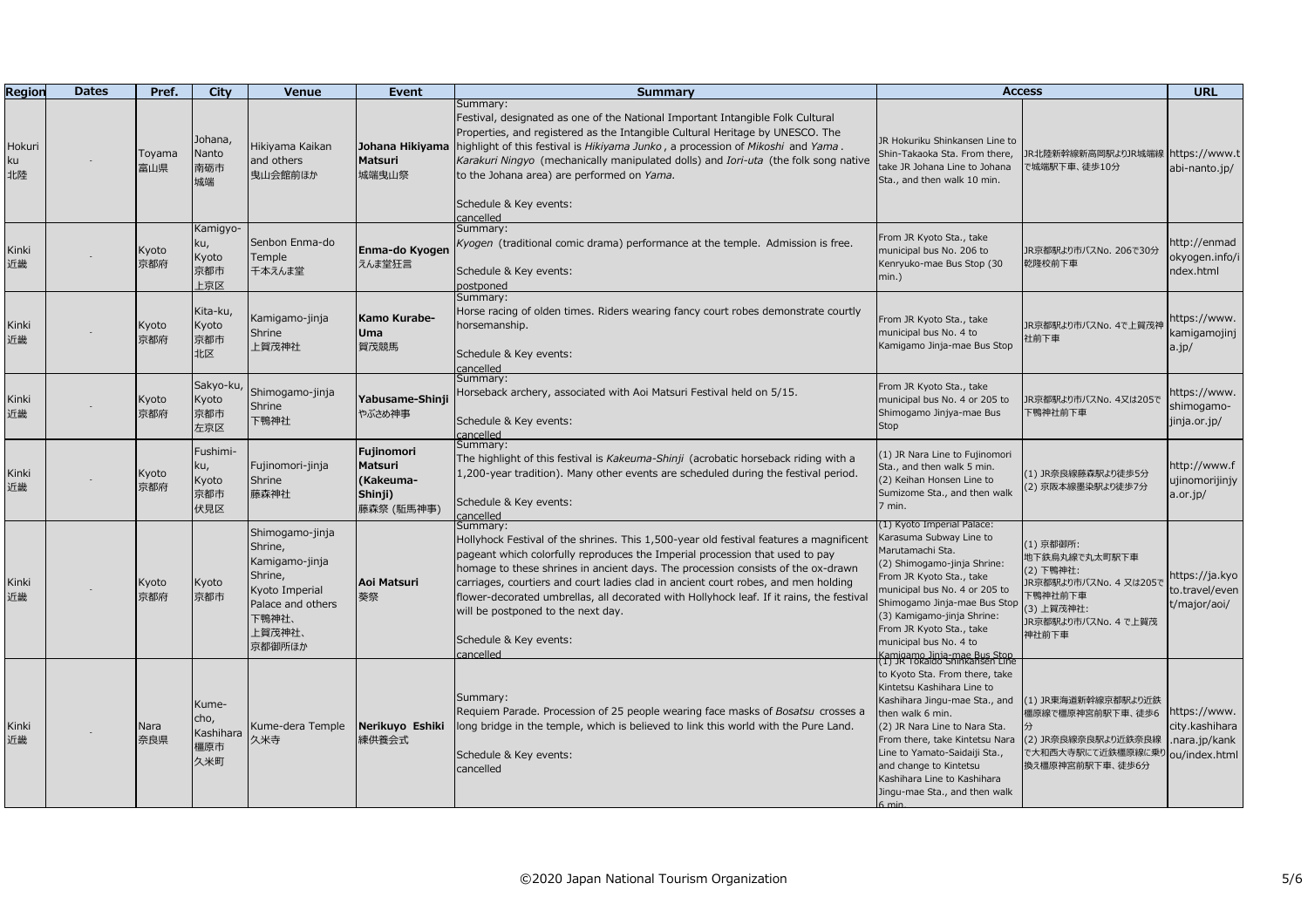| Region                    | <b>Dates</b> | Pref.         | City                                     | <b>Venue</b>                                                                                                                | Event                                                       | <b>Summary</b>                                                                                                                                                                                                                                                                                                                                                                                                                                                                                                                        | <b>Access</b>                                                                                                                                                                                                                                                                                                                                                                    |                                                                                                                             | <b>URL</b>                                                      |
|---------------------------|--------------|---------------|------------------------------------------|-----------------------------------------------------------------------------------------------------------------------------|-------------------------------------------------------------|---------------------------------------------------------------------------------------------------------------------------------------------------------------------------------------------------------------------------------------------------------------------------------------------------------------------------------------------------------------------------------------------------------------------------------------------------------------------------------------------------------------------------------------|----------------------------------------------------------------------------------------------------------------------------------------------------------------------------------------------------------------------------------------------------------------------------------------------------------------------------------------------------------------------------------|-----------------------------------------------------------------------------------------------------------------------------|-----------------------------------------------------------------|
| Hokuri<br><u<br>北陸</u<br> |              | Toyama<br>富山県 | Johana,<br>Nanto<br>南砺市<br>城端            | Hikiyama Kaikan<br>and others<br>曳山会館前ほか                                                                                    | Johana Hikiyama<br>Matsuri<br>城端曳山祭                         | Summary:<br>Festival, designated as one of the National Important Intangible Folk Cultural<br>Properties, and registered as the Intangible Cultural Heritage by UNESCO. The<br>highlight of this festival is Hikiyama Junko, a procession of Mikoshi and Yama.<br>Karakuri Ningyo (mechanically manipulated dolls) and Iori-uta (the folk song native<br>to the Johana area) are performed on Yama.<br>Schedule & Key events:<br>cancelled                                                                                            | JR Hokuriku Shinkansen Line to<br>Shin-Takaoka Sta. From there,<br>take JR Johana Line to Johana<br>Sta., and then walk 10 min.                                                                                                                                                                                                                                                  | JR北陸新幹線新高岡駅よりJR城端線<br>で城端駅下車、徒歩10分                                                                                          | https://www.t<br>abi-nanto.jp/                                  |
| Kinki<br>近畿               |              | Kyoto<br>京都府  | Kamigyo-<br>ku,<br>Kyoto<br>京都市<br>上京区   | Senbon Enma-do<br>Temple<br>千本えんま堂                                                                                          | Enma-do Kyogen<br>えんま堂狂言                                    | Summary:<br>Kyogen (traditional comic drama) performance at the temple. Admission is free.<br>Schedule & Key events:<br>postponed                                                                                                                                                                                                                                                                                                                                                                                                     | From JR Kyoto Sta., take<br>municipal bus No. 206 to<br>Kenryuko-mae Bus Stop (30<br>$min.$ )                                                                                                                                                                                                                                                                                    | JR京都駅より市バスNo. 206で30分<br>乾隆校前下車                                                                                             | nttp://enmad<br>okyogen.info/i<br>ndex.html                     |
| Kinki<br>近畿               |              | Kyoto<br>京都府  | Kita-ku,<br>Kyoto<br>京都市<br>北区           | Kamigamo-jinja<br>Shrine<br>上賀茂神社                                                                                           | Kamo Kurabe-<br><b>Uma</b><br>賀茂競馬                          | Summary:<br>Horse racing of olden times. Riders wearing fancy court robes demonstrate courtly<br>horsemanship.<br>Schedule & Key events:<br>cancelled<br>Summary:                                                                                                                                                                                                                                                                                                                                                                     | From JR Kyoto Sta., take<br>municipal bus No. 4 to<br>Kamigamo Jinja-mae Bus Stop                                                                                                                                                                                                                                                                                                | JR京都駅より市バスNo. 4で上賀茂神<br>社前下車                                                                                                | ittps://www.<br>kamigamojinj<br>$a$ .jp/                        |
| Kinki<br>近畿               |              | Kyoto<br>京都府  | Sakyo-ku,<br>Kyoto<br>京都市<br>左京区         | Shimogamo-jinja<br>Shrine<br>下鴨神社                                                                                           | Yabusame-Shinj<br>やぶさめ神事                                    | Horseback archery, associated with Aoi Matsuri Festival held on 5/15.<br>Schedule & Key events:<br>cancelled                                                                                                                                                                                                                                                                                                                                                                                                                          | From JR Kyoto Sta., take<br>municipal bus No. 4 or 205 to<br>Shimogamo Jinjya-mae Bus<br>Stop                                                                                                                                                                                                                                                                                    | JR京都駅より市バスNo. 4又は205で<br>下鴨神社前下車                                                                                            | https://www.<br>shimogamo-<br>jinja.or.jp/                      |
| Kinki<br>近畿               |              | Kyoto<br>京都府  | Fushimi-<br>ku,<br>Kyoto<br>京都市<br>伏見区   | Fujinomori-jinja<br>Shrine<br>藤森神社                                                                                          | Fujinomori<br>Matsuri<br>(Kakeuma-<br>Shinji)<br>藤森祭 (駈馬神事) | Summary:<br>The highlight of this festival is Kakeuma-Shinji (acrobatic horseback riding with a<br>1,200-year tradition). Many other events are scheduled during the festival period.<br>Schedule & Key events:<br>cancelled                                                                                                                                                                                                                                                                                                          | (1) JR Nara Line to Fujinomori<br>Sta., and then walk 5 min.<br>(2) Keihan Honsen Line to<br>Sumizome Sta., and then walk<br>7 min.                                                                                                                                                                                                                                              | (1) JR奈良線藤森駅より徒歩5分<br>(2) 京阪本線墨染駅より徒歩7分                                                                                     | http://www.f<br>ujinomorijinjy<br>a.or.jp/                      |
| Kinki<br>近畿               |              | Kyoto<br>京都府  | Kyoto<br>京都市                             | Shimogamo-jinja<br>Shrine,<br>Kamigamo-jinja<br>Shrine,<br>Kyoto Imperial<br>Palace and others<br>下鴨神社、<br>上賀茂神社、<br>京都御所ほか | Aoi Matsuri<br>葵祭                                           | Summary:<br>Hollyhock Festival of the shrines. This 1,500-year old festival features a magnificent<br>pageant which colorfully reproduces the Imperial procession that used to pay<br>homage to these shrines in ancient days. The procession consists of the ox-drawn<br>carriages, courtiers and court ladies clad in ancient court robes, and men holding<br>flower-decorated umbrellas, all decorated with Hollyhock leaf. If it rains, the festival<br>will be postponed to the next day.<br>Schedule & Key events:<br>cancelled | (1) Kyoto Imperial Palace:<br>Karasuma Subway Line to<br>Marutamachi Sta.<br>(2) Shimogamo-jinja Shrine:<br>From JR Kyoto Sta., take<br>municipal bus No. 4 or 205 to<br>Shimogamo Jinja-mae Bus Stop<br>(3) Kamigamo-jinja Shrine:<br>From JR Kyoto Sta., take<br>municipal bus No. 4 to                                                                                        | (1) 京都御所:<br>地下鉄烏丸線で丸太町駅下車<br>(2) 下鴨神社:<br>JR京都駅より市バスNo. 4 又は205で<br>下鴨神社前下車<br>(3) 上賀茂神社:<br>JR京都駅より市バスNo. 4 で上賀茂<br>神社前下車 | nttps://ja.kyo<br>to.travel/even<br>t/major/aoi/                |
| Kinki<br>近畿               |              | Nara<br>奈良県   | Kume-<br>cho,<br>Kashihara<br>橿原市<br>久米町 | Kume-dera Temple<br>久米寺                                                                                                     | Nerikuyo Eshiki<br>練供養会式                                    | Summary:<br>Requiem Parade. Procession of 25 people wearing face masks of Bosatsu crosses a<br>long bridge in the temple, which is believed to link this world with the Pure Land.<br>Schedule & Key events:<br>cancelled                                                                                                                                                                                                                                                                                                             | Kamigamo Jinja-mae Bus Stop<br>(1) JR Tokaido Shinkansen Line<br>to Kyoto Sta. From there, take<br>Kintetsu Kashihara Line to<br>Kashihara Jingu-mae Sta., and<br>then walk 6 min.<br>(2) JR Nara Line to Nara Sta.<br>From there, take Kintetsu Nara<br>Line to Yamato-Saidaiji Sta.,<br>and change to Kintetsu<br>Kashihara Line to Kashihara<br>Jingu-mae Sta., and then walk | (1) JR東海道新幹線京都駅より近鉄<br>橿原線で橿原神宮前駅下車、徒歩6<br>(2) JR奈良線奈良駅より近鉄奈良線<br>で大和西大寺駅にて近鉄橿原線に乗り<br>換え橿原神宮前駅下車、徒歩6分                      | nttps://www.<br>city.kashihara<br>nara.jp/kank<br>ou/index.html |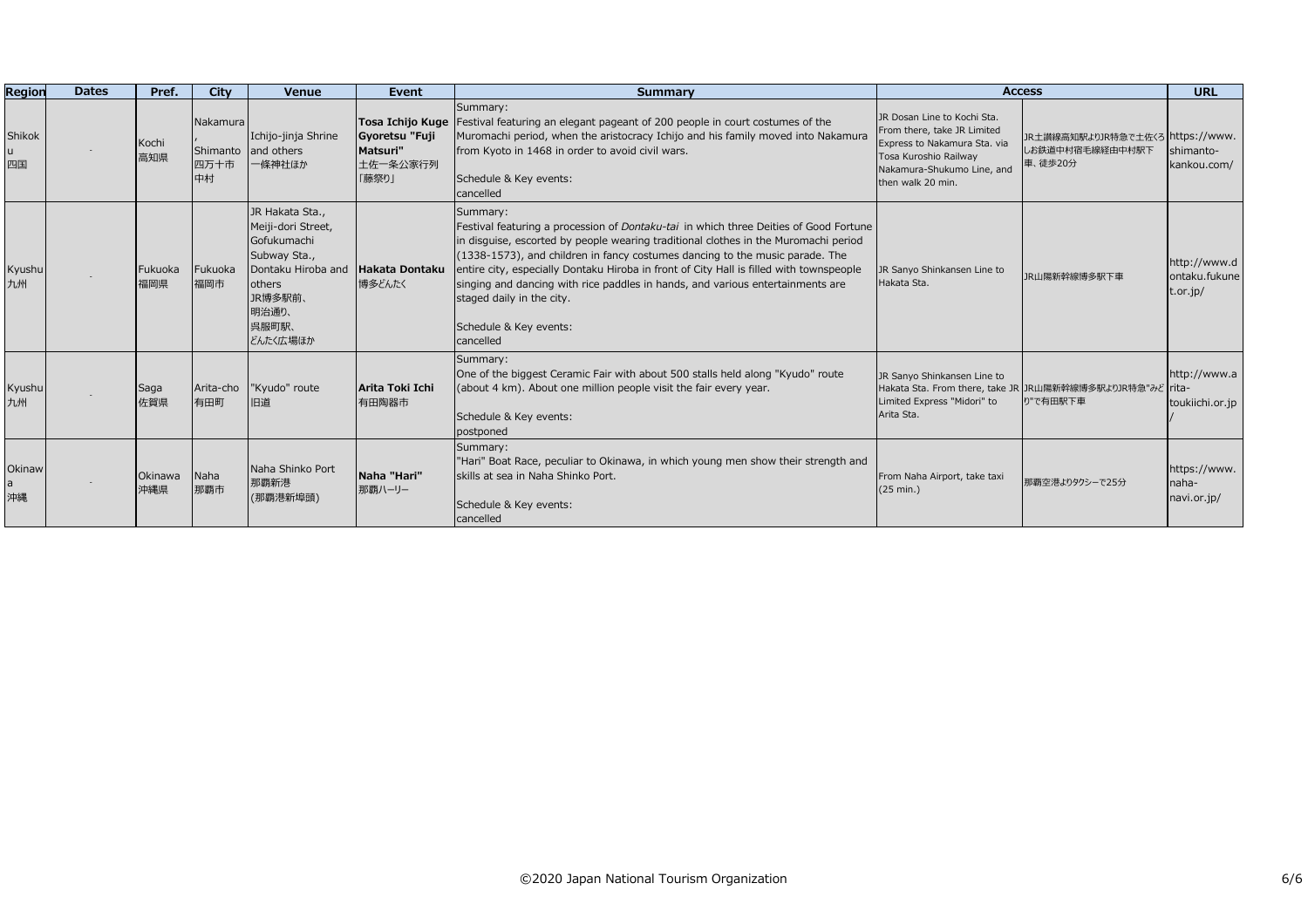| Region            | <b>Dates</b> | Pref.          | City                               | <b>Venue</b>                                                                                                                                  | Event                                                               | <b>Summary</b>                                                                                                                                                                                                                                                                                                                                                                                                                                                                                                                      | <b>Access</b>                                                                                                                                                          |                                                                | <b>URL</b>                                |
|-------------------|--------------|----------------|------------------------------------|-----------------------------------------------------------------------------------------------------------------------------------------------|---------------------------------------------------------------------|-------------------------------------------------------------------------------------------------------------------------------------------------------------------------------------------------------------------------------------------------------------------------------------------------------------------------------------------------------------------------------------------------------------------------------------------------------------------------------------------------------------------------------------|------------------------------------------------------------------------------------------------------------------------------------------------------------------------|----------------------------------------------------------------|-------------------------------------------|
| Shikok<br>u<br>四国 |              | Kochi<br>高知県   | Nakamura<br>Shimanto<br>四万十市<br>中村 | Ichijo-jinja Shrine<br>and others<br>一條神社ほか                                                                                                   | Tosa Ichijo Kuge<br>Gyoretsu "Fuji<br>Matsuri"<br>土佐一条公家行列<br>「藤祭り」 | Summary:<br>Festival featuring an elegant pageant of 200 people in court costumes of the<br>Muromachi period, when the aristocracy Ichijo and his family moved into Nakamura<br>from Kyoto in 1468 in order to avoid civil wars.<br>Schedule & Key events:<br>cancelled                                                                                                                                                                                                                                                             | JR Dosan Line to Kochi Sta.<br>From there, take JR Limited<br>Express to Nakamura Sta. via<br>Tosa Kuroshio Railway<br>Nakamura-Shukumo Line, and<br>then walk 20 min. | JR土讃線高知駅よりJR特急で土佐くろ https://www.<br>しお鉄道中村宿毛線経由中村駅下<br>車、徒歩20分 | shimanto-<br>kankou.com/                  |
| Kyushu<br>九州      |              | Fukuoka<br>福岡県 | Fukuoka<br>福岡市                     | JR Hakata Sta.,<br>Meiji-dori Street,<br>Gofukumachi<br>Subway Sta.,<br>Dontaku Hiroba and<br>others<br>JR博多駅前、<br>明治通り、<br>呉服町駅、<br>どんたく広場ほか | Hakata Dontaku<br>博多どんたく                                            | Summary:<br>Festival featuring a procession of <i>Dontaku-tai</i> in which three Deities of Good Fortune<br>in disquise, escorted by people wearing traditional clothes in the Muromachi period<br>$(1338-1573)$ , and children in fancy costumes dancing to the music parade. The<br>entire city, especially Dontaku Hiroba in front of City Hall is filled with townspeople<br>singing and dancing with rice paddles in hands, and various entertainments are<br>staged daily in the city.<br>Schedule & Key events:<br>cancelled | JR Sanyo Shinkansen Line to<br>Hakata Sta.                                                                                                                             | <b>JR山陽新幹線博多駅下車</b>                                            | http://www.d<br>ontaku.fukune<br>t.or.jp/ |
| Kyushu<br>九州      |              | Saga<br>佐賀県    | Arita-cho<br>有田町                   | "Kyudo" route<br>旧道                                                                                                                           | Arita Toki Ichi<br>有田陶器市                                            | Summary:<br>One of the biggest Ceramic Fair with about 500 stalls held along "Kyudo" route<br>(about 4 km). About one million people visit the fair every year.<br>Schedule & Key events:<br>postponed                                                                                                                                                                                                                                                                                                                              | JR Sanyo Shinkansen Line to<br>Hakata Sta. From there, take JR JR山陽新幹線博多駅よりJR特急"みど rita-<br>Limited Express "Midori" to<br>Arita Sta.                                  | り"で有田駅下車                                                       | http://www.a<br>toukiichi.or.jp           |
| Okinaw<br>沖縄      |              | Okinawa<br>沖縄県 | Naha<br>那覇市                        | Naha Shinko Port<br>那覇新港<br>(那覇港新埠頭)                                                                                                          | Naha "Hari"<br>那覇ハーリー                                               | Summary:<br>"Hari" Boat Race, peculiar to Okinawa, in which young men show their strength and<br>skills at sea in Naha Shinko Port.<br>Schedule & Key events:<br>cancelled                                                                                                                                                                                                                                                                                                                                                          | From Naha Airport, take taxi<br>(25 min.)                                                                                                                              | 那覇空港よりタクシーで25分                                                 | https://www.<br>naha-<br>navi.or.jp/      |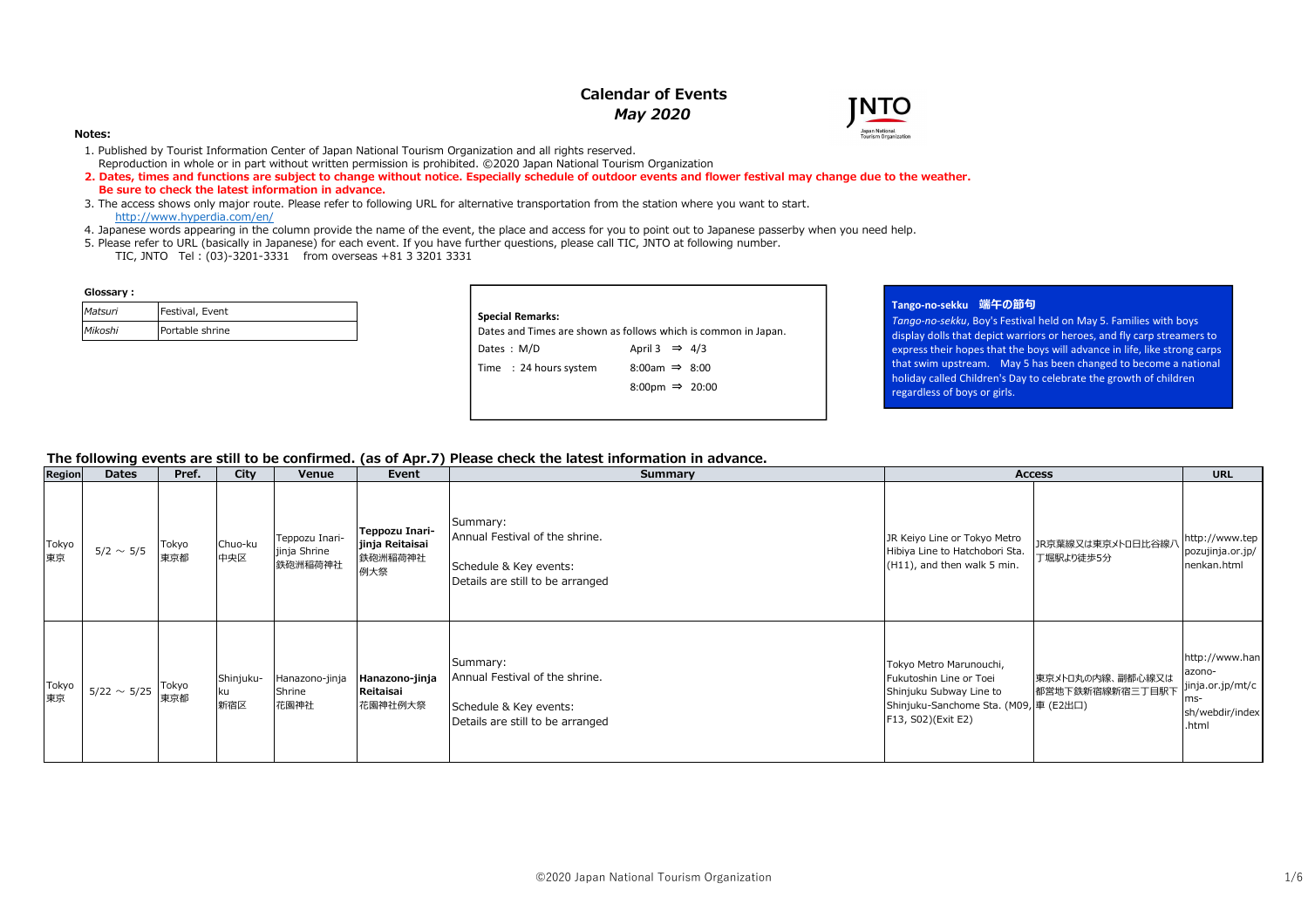# **Calendar of Events***May 2020*



#### **Notes:**

- 1. Published by Tourist Information Center of Japan National Tourism Organization and all rights reserved.
- Reproduction in whole or in part without written permission is prohibited. ©2020 Japan National Tourism Organization
- **2. Dates, times and functions are subject to change without notice. Especially schedule of outdoor events and flower festival may change due to the weather. Be sure to check the latest information in advance.**
- 3. The access shows only major route. Please refer to following URL for alternative transportation from the station where you want to start.http://www.hyperdia.com/en/
- 4. Japanese words appearing in the column provide the name of the event, the place and access for you to point out to Japanese passerby when you need help.
- 5. Please refer to URL (basically in Japanese) for each event. If you have further questions, please call TIC, JNTO at following number.
	- TIC, JNTO Tel : (03)-3201-3331 from overseas +81 3 3201 3331

#### Glossary:

| Matsuri | Festival, Event |
|---------|-----------------|
| Mikoshi | Portable shrine |

| <b>Special Remarks:</b> | Dates and Times are shown as follows which is common in Japan. |
|-------------------------|----------------------------------------------------------------|
| Dates: M/D              | April 3 $\Rightarrow$ 4/3                                      |
| Time : 24 hours system  | $8:00am \Rightarrow 8:00$                                      |
|                         | 8:00pm $\Rightarrow$ 20:00                                     |

## **Tango-no-sekku 端午の節句**

 *Tango-no-sekku*, Boy's Festival held on May 5. Families with boys display dolls that depict warriors or heroes, and fly carp streamers to express their hopes that the boys will advance in life, like strong carps that swim upstream. May 5 has been changed to become a national holiday called Children's Day to celebrate the growth of children regardless of boys or girls.

### **The following events are still to be confirmed. (as of Apr.7) Please check the latest information in advance.**

| Region      | <b>Dates</b>     | Pref.        | City                     | Venue                                     | Event                                               | Summary                                                                                                  |                                                                                                                                              | <b>Access</b>                       | <b>URL</b>                                                                      |
|-------------|------------------|--------------|--------------------------|-------------------------------------------|-----------------------------------------------------|----------------------------------------------------------------------------------------------------------|----------------------------------------------------------------------------------------------------------------------------------------------|-------------------------------------|---------------------------------------------------------------------------------|
| Tokyo<br>東京 | $5/2 \sim 5/5$   | Tokyo<br>東京都 | Chuo-ku<br>中央区           | Teppozu Inari-<br>jinja Shrine<br>鉄砲洲稲荷神社 | Teppozu Inari-<br>jinja Reitaisai<br>鉄砲洲稲荷神社<br>例大祭 | Summary:<br>Annual Festival of the shrine.<br>Schedule & Key events:<br>Details are still to be arranged | JR Keiyo Line or Tokyo Metro<br>Hibiya Line to Hatchobori Sta.<br>(H11), and then walk 5 min.                                                | JR京葉線又は東京メトロ日比谷線ア<br>丁堀駅より徒歩5分      | http://www.tep<br>pozujinja.or.jp/<br>nenkan.html                               |
| Tokyo<br>東京 | $5/22 \sim 5/25$ | Tokyo<br>東京都 | Shinjuku-<br>l ku<br>新宿区 | Hanazono-jinja<br>Shrine<br>花園神社          | Hanazono-jinja<br>Reitaisai<br>花園神社例大祭              | Summary:<br>Annual Festival of the shrine.<br>Schedule & Key events:<br>Details are still to be arranged | Tokyo Metro Marunouchi,<br>Fukutoshin Line or Toei<br>Shinjuku Subway Line to<br>Shinjuku-Sanchome Sta. (M09, 車 (E2出口)<br>F13, S02)(Exit E2) | 東京メトロ丸の内線、副都心線又は<br>都営地下鉄新宿線新宿三丁目駅下 | http://www.han<br>azono-<br>jinja.or.jp/mt/c<br>ms-<br>sh/webdir/index<br>.html |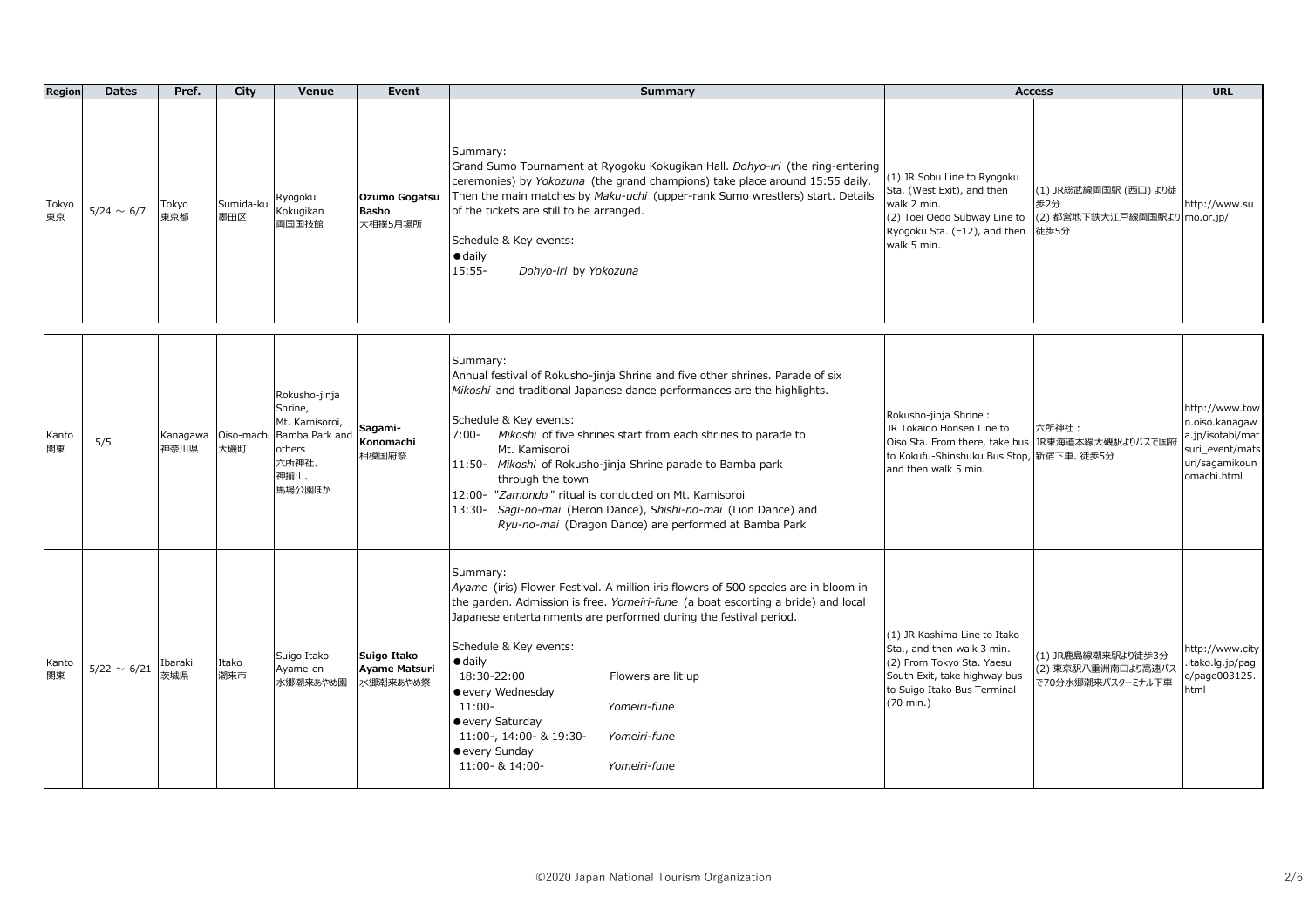| Region      | <b>Dates</b>     | Pref.            | City             | Venue                                                                                                        | Event                                           | <b>Summary</b>                                                                                                                                                                                                                                                                                                                                                                                                                                                                                                                                                 |                                                                                                                                                                           | <b>Access</b>                                                        | <b>URL</b>                                                                                               |
|-------------|------------------|------------------|------------------|--------------------------------------------------------------------------------------------------------------|-------------------------------------------------|----------------------------------------------------------------------------------------------------------------------------------------------------------------------------------------------------------------------------------------------------------------------------------------------------------------------------------------------------------------------------------------------------------------------------------------------------------------------------------------------------------------------------------------------------------------|---------------------------------------------------------------------------------------------------------------------------------------------------------------------------|----------------------------------------------------------------------|----------------------------------------------------------------------------------------------------------|
| Tokyo<br>東京 | $5/24 \sim 6/7$  | Tokyo<br>東京都     | Sumida-ku<br>墨田区 | Ryogoku<br>Kokugikan<br>両国国技館                                                                                | Ozumo Gogatsu<br><b>Basho</b><br>大相撲5月場所        | Summary:<br>Grand Sumo Tournament at Ryogoku Kokugikan Hall. Dohyo-iri (the ring-entering<br>ceremonies) by Yokozuna (the grand champions) take place around 15:55 daily.<br>Then the main matches by Maku-uchi (upper-rank Sumo wrestlers) start. Details<br>of the tickets are still to be arranged.<br>Schedule & Key events:<br>$\bullet$ daily<br>$15:55 -$<br>Dohyo-iri by Yokozuna                                                                                                                                                                      | (1) JR Sobu Line to Ryogoku<br>Sta. (West Exit), and then<br>walk 2 min.<br>(2) Toei Oedo Subway Line to<br>Ryogoku Sta. (E12), and then<br>walk 5 min.                   | (1) JR総武線両国駅 (西口) より徒<br>歩2分<br>(2) 都営地下鉄大江戸線両国駅より mo.or.jp/<br>徒歩5分 | http://www.su                                                                                            |
| Kanto<br>関東 | 5/5              | Kanagawa<br>神奈川県 | 大磯町              | Rokusho-jinja<br>Shrine,<br>Mt. Kamisoroi,<br>Oiso-machi Bamba Park and<br>others<br>六所神社、<br>神揃山、<br>馬場公園ほか | Sagami-<br>Konomachi<br>相模国府祭                   | Summary:<br>Annual festival of Rokusho-jinja Shrine and five other shrines. Parade of six<br>Mikoshi and traditional Japanese dance performances are the highlights.<br>Schedule & Key events:<br>7:00- Mikoshi of five shrines start from each shrines to parade to<br>Mt. Kamisoroi<br>11:50- Mikoshi of Rokusho-jinja Shrine parade to Bamba park<br>through the town<br>12:00- "Zamondo" ritual is conducted on Mt. Kamisoroi<br>13:30- Sagi-no-mai (Heron Dance), Shishi-no-mai (Lion Dance) and<br>Ryu-no-mai (Dragon Dance) are performed at Bamba Park | Rokusho-jinja Shrine:<br>JR Tokaido Honsen Line to<br>Oiso Sta. From there, take bus JR東海道本線大磯駅よりバスで国府<br>to Kokufu-Shinshuku Bus Stop, 新宿下車、徒歩5分<br>and then walk 5 min. | 六所神社:                                                                | http://www.tow<br>n.oiso.kanagaw<br>a.jp/isotabi/mat<br>suri event/mats<br>uri/sagamikoun<br>omachi.html |
| Kanto<br>関東 | $5/22 \sim 6/21$ | Ibaraki<br>茨城県   | Itako<br>潮来市     | Suigo Itako<br>Ayame-en<br>水郷潮来あやめ園                                                                          | Suigo Itako<br><b>Ayame Matsuri</b><br>水郷潮来あやめ祭 | Summary:<br>Ayame (iris) Flower Festival. A million iris flowers of 500 species are in bloom in<br>the garden. Admission is free. Yomeiri-fune (a boat escorting a bride) and local<br>Japanese entertainments are performed during the festival period.<br>Schedule & Key events:<br>$\bullet$ daily<br>18:30-22:00<br>Flowers are lit up<br>• every Wednesday<br>Yomeiri-fune<br>$11:00-$<br>• every Saturday<br>11:00-, 14:00- & 19:30-<br>Yomeiri-fune<br>• every Sunday<br>11:00- & 14:00-<br>Yomeiri-fune                                                | (1) JR Kashima Line to Itako<br>Sta., and then walk 3 min.<br>(2) From Tokyo Sta. Yaesu<br>South Exit, take highway bus<br>to Suigo Itako Bus Terminal<br>(70 min.)       | (1) JR鹿島線潮来駅より徒歩3分<br>(2) 東京駅八重洲南口より高速バス<br>で70分水郷潮来バスターミナル下車        | nttp://www.city<br>itako.lg.jp/pag<br>e/page003125.<br>html                                              |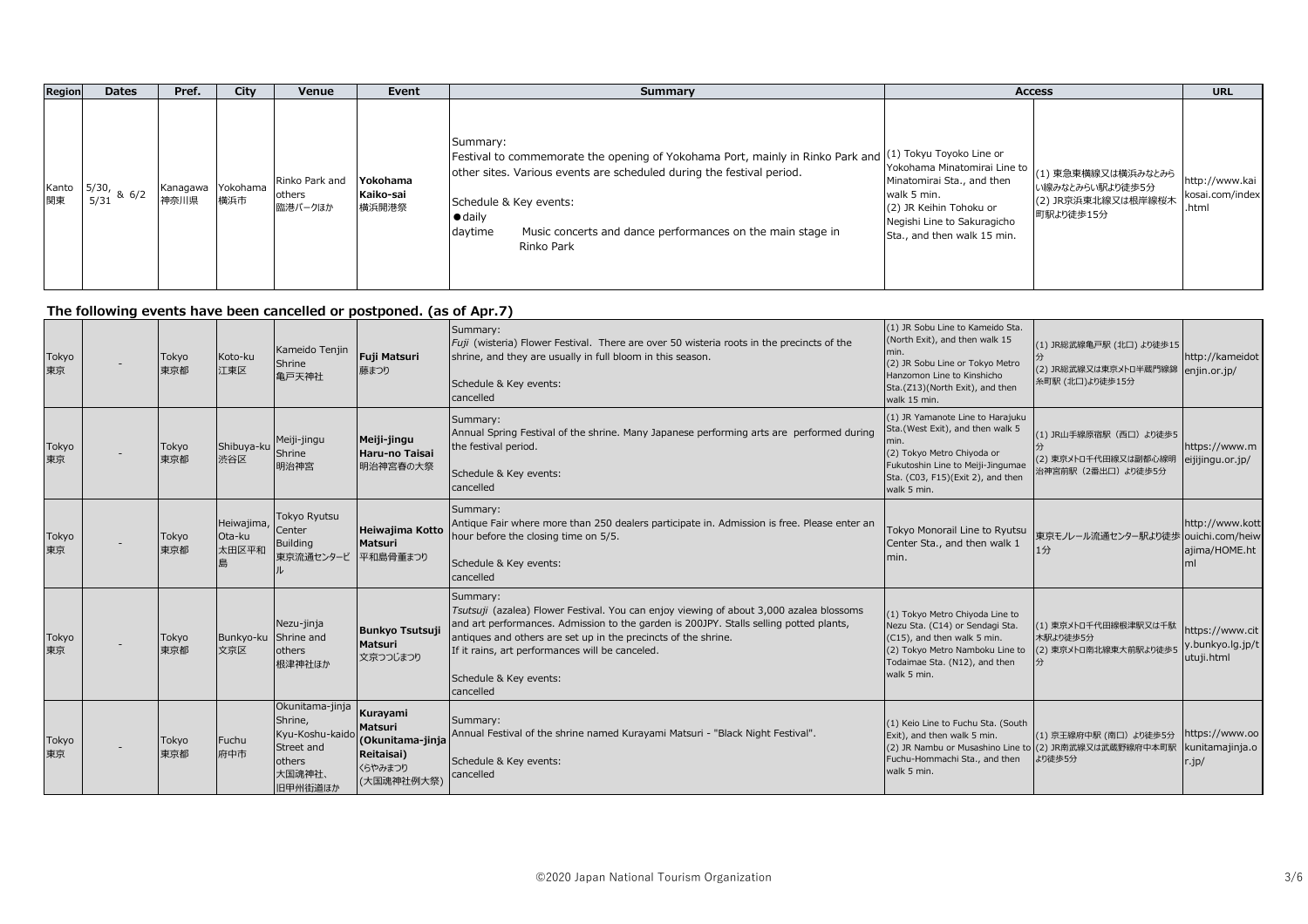| <b>Region</b> | <b>Dates</b>                           | Pref. | City                     | Venue                               | Event                          | Summary                                                                                                                                                                                                                                                                                                                            | <b>Access</b>                                                                                                                                                      |                                                                          | <b>URL</b>                                 |
|---------------|----------------------------------------|-------|--------------------------|-------------------------------------|--------------------------------|------------------------------------------------------------------------------------------------------------------------------------------------------------------------------------------------------------------------------------------------------------------------------------------------------------------------------------|--------------------------------------------------------------------------------------------------------------------------------------------------------------------|--------------------------------------------------------------------------|--------------------------------------------|
| Kanto I<br>関東 | $\frac{1}{10}$   5/30, & 6/2  <br>5/31 | 神奈川県  | Kanagawa Yokohama<br>横浜市 | Rinko Park and<br>others<br>臨港パークほか | Yokohama<br>Kaiko-sai<br>横浜開港祭 | Summary:<br>Festival to commemorate the opening of Yokohama Port, mainly in Rinko Park and $(1)$ Tokyu Toyoko Line or<br>other sites. Various events are scheduled during the festival period.<br>Schedule & Key events:<br>$\bullet$ daily<br>Music concerts and dance performances on the main stage in<br>daytime<br>Rinko Park | Yokohama Minatomirai Line to<br>Minatomirai Sta., and then<br>walk 5 min.<br>(2) JR Keihin Tohoku or<br>Negishi Line to Sakuragicho<br>Sta., and then walk 15 min. | (1) 東急東横線又は横浜みなとみら<br>い線みなとみらい駅より徒歩5分<br>(2) JR京浜東北線又は根岸線桜木<br>町駅より徒歩15分 | http://www.kai<br>kosai.com/index<br>.html |

## **The following events have been cancelled or postponed. (as of Apr.7)**

| Tokyo<br>東京 | Tokyo<br>東京都 | Koto-ku<br>江東区                | Kameido Tenjin<br>Shrine<br>亀戸天神社                                                          | Fuji Matsuri<br>藤まつり                                                           | Summary:<br>Fuji (wisteria) Flower Festival. There are over 50 wisteria roots in the precincts of the<br>shrine, and they are usually in full bloom in this season.<br>Schedule & Key events:<br>cancelled                                                                                                                                                | (1) JR Sobu Line to Kameido Sta.<br>(North Exit), and then walk 15<br>min.<br>(2) JR Sobu Line or Tokyo Metro<br>Hanzomon Line to Kinshicho<br>Sta.(Z13)(North Exit), and then<br>walk 15 min. | (1) JR総武線亀戸駅 (北口) より徒歩15<br>(2) JR総武線又は東京メトロ半蔵門線錦<br>糸町駅 (北口)より徒歩15分                       | http://kameidot<br>enjin.or.jp/                       |
|-------------|--------------|-------------------------------|--------------------------------------------------------------------------------------------|--------------------------------------------------------------------------------|-----------------------------------------------------------------------------------------------------------------------------------------------------------------------------------------------------------------------------------------------------------------------------------------------------------------------------------------------------------|------------------------------------------------------------------------------------------------------------------------------------------------------------------------------------------------|--------------------------------------------------------------------------------------------|-------------------------------------------------------|
| Tokyo<br>東京 | Tokyo<br>東京都 | Shibuya-ku<br>渋谷区             | Meiji-jingu<br>Shrine<br>明治神宮                                                              | Meiji-jingu<br>Haru-no Taisai<br>明治神宮春の大祭                                      | Summary:<br>Annual Spring Festival of the shrine. Many Japanese performing arts are performed during<br>the festival period.<br>Schedule & Key events:<br>cancelled                                                                                                                                                                                       | (1) JR Yamanote Line to Harajuku<br>Sta.(West Exit), and then walk 5<br>(2) Tokyo Metro Chiyoda or<br>Fukutoshin Line to Meiji-Jingumae<br>Sta. (C03, F15)(Exit 2), and then<br>walk 5 min.    | (1) JR山手線原宿駅 (西口) より徒歩5<br>(2) 東京メトロ千代田線又は副都心線明<br>治神宮前駅 (2番出口) より徒歩5分                     | https://www.m<br>eijijingu.or.jp/                     |
| Tokyo<br>東京 | Tokyo<br>東京都 | Heiwajima,<br>Ota-ku<br>太田区平和 | <b>Tokyo Ryutsu</b><br>Center<br>Building<br>東京流通センタービ                                     | Heiwajima Kotto<br><b>Matsuri</b><br>平和島骨董まつり                                  | Summary:<br>Antique Fair where more than 250 dealers participate in. Admission is free. Please enter an<br>hour before the closing time on 5/5.<br>Schedule & Key events:<br>cancelled                                                                                                                                                                    | Tokyo Monorail Line to Ryutsu<br>Center Sta., and then walk 1<br>min.                                                                                                                          | 東京モノレール流通センター駅より徒歩 ouichi.com/heiw                                                         | http://www.kott<br>ajima/HOME.ht<br>ml                |
| Tokyo<br>東京 | Tokyo<br>東京都 | Bunkyo-ku Shrine and<br>文京区   | Nezu-jinja<br>others<br>根津神社ほか                                                             | <b>Bunkyo Tsutsuji</b><br><b>Matsuri</b><br>文京つつじまつり                           | Summary:<br>Tsutsuji (azalea) Flower Festival. You can enjoy viewing of about 3,000 azalea blossoms<br>and art performances. Admission to the garden is 200JPY. Stalls selling potted plants,<br>antiques and others are set up in the precincts of the shrine.<br>If it rains, art performances will be canceled.<br>Schedule & Key events:<br>cancelled | (1) Tokyo Metro Chiyoda Line to<br>Nezu Sta. (C14) or Sendagi Sta.<br>(C15), and then walk 5 min.<br>(2) Tokyo Metro Namboku Line to<br>Todaimae Sta. (N12), and then<br>walk 5 min.           | (1) 東京メトロ千代田線根津駅又は千駄<br>木駅より徒歩5分<br>(2) 東京メトロ南北線東大前駅より徒歩5                                  | https://www.cit<br>y.bunkyo.lg.jp/t<br>utuji.html     |
| Tokyo<br>東京 | Tokyo<br>東京都 | Fuchu<br>府中市                  | Okunitama-jinja<br>Shrine,<br>Kyu-Koshu-kaido<br>Street and<br>others<br>大国魂神社、<br>旧甲州街道ほか | Kurayami<br>Matsuri<br>(Okunitama-jinja<br>Reitaisai)<br>くらやみまつり<br>(大国魂神社例大祭) | Summary:<br>Annual Festival of the shrine named Kurayami Matsuri - "Black Night Festival".<br>Schedule & Key events:<br>cancelled                                                                                                                                                                                                                         | (1) Keio Line to Fuchu Sta. (South<br>Exit), and then walk 5 min.<br>Fuchu-Hommachi Sta., and then<br>walk 5 min.                                                                              | (1) 京王線府中駅 (南口) より徒歩5分<br>(2) JR Nambu or Musashino Line to (2) JR南武線又は武蔵野線府中本町駅<br>より徒歩5分 | https://www.oo<br>kunitamajinja.o<br>$\therefore$ jp/ |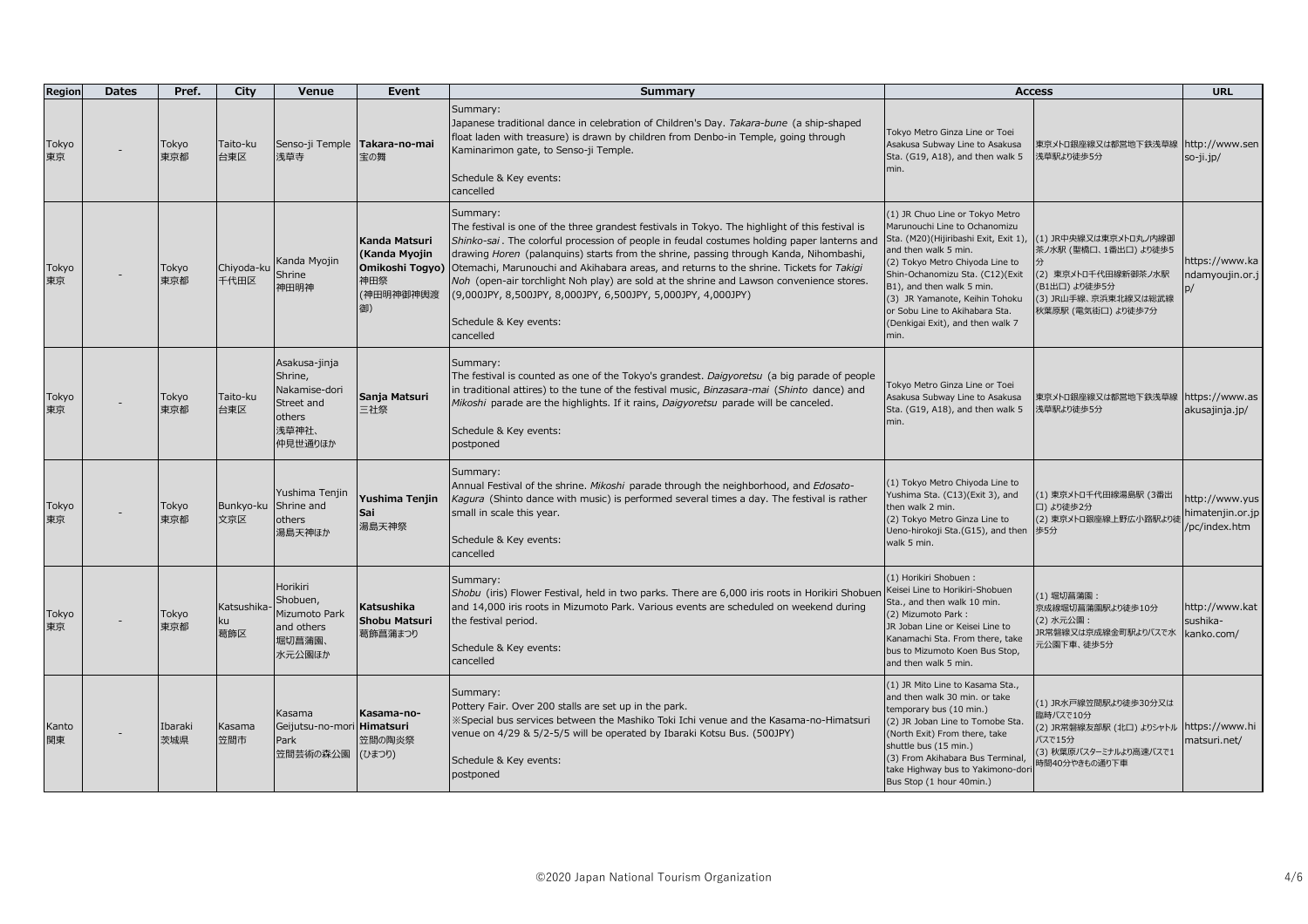| Region      | <b>Dates</b> | Pref.          | City                        | Venue                                                                                 | Event                                                                       | <b>Summary</b>                                                                                                                                                                                                                                                                                                                                                                                                                                                                                                                                                                                    | <b>Access</b>                                                                                                                                                                                                                                                                                                                                        |                                                                                                                                      | <b>URL</b>                                          |
|-------------|--------------|----------------|-----------------------------|---------------------------------------------------------------------------------------|-----------------------------------------------------------------------------|---------------------------------------------------------------------------------------------------------------------------------------------------------------------------------------------------------------------------------------------------------------------------------------------------------------------------------------------------------------------------------------------------------------------------------------------------------------------------------------------------------------------------------------------------------------------------------------------------|------------------------------------------------------------------------------------------------------------------------------------------------------------------------------------------------------------------------------------------------------------------------------------------------------------------------------------------------------|--------------------------------------------------------------------------------------------------------------------------------------|-----------------------------------------------------|
| Tokyo<br>東京 |              | Tokyo<br>東京都   | Taito-ku<br>台東区             | Senso-ji Temple   Takara-no-mai<br>浅草寺                                                | 宝の舞                                                                         | Summary:<br>Japanese traditional dance in celebration of Children's Day. Takara-bune (a ship-shaped<br>float laden with treasure) is drawn by children from Denbo-in Temple, going through<br>Kaminarimon gate, to Senso-ji Temple.<br>Schedule & Key events:<br>cancelled                                                                                                                                                                                                                                                                                                                        | Tokyo Metro Ginza Line or Toei<br>Asakusa Subway Line to Asakusa<br>Sta. (G19, A18), and then walk 5<br>min.                                                                                                                                                                                                                                         | 東京メトロ銀座線又は都営地下鉄浅草線 http://www.sen<br>浅草駅より徒歩5分                                                                                       | so-ji.jp/                                           |
| Tokyo<br>東京 |              | Tokyo<br>東京都   | Chiyoda-ku<br>千代田区          | Kanda Myojin<br>Shrine<br>神田明神                                                        | Kanda Matsuri<br>(Kanda Myojin<br>Omikoshi Togyo)<br>神田祭<br>(神田明神御神輿渡<br>御) | Summary:<br>The festival is one of the three grandest festivals in Tokyo. The highlight of this festival is<br>Shinko-sai. The colorful procession of people in feudal costumes holding paper lanterns and<br>drawing Horen (palanquins) starts from the shrine, passing through Kanda, Nihombashi,<br>Otemachi, Marunouchi and Akihabara areas, and returns to the shrine. Tickets for Takigi<br>Noh (open-air torchlight Noh play) are sold at the shrine and Lawson convenience stores.<br>(9,000JPY, 8,500JPY, 8,000JPY, 6,500JPY, 5,000JPY, 4,000JPY)<br>Schedule & Key events:<br>cancelled | (1) JR Chuo Line or Tokyo Metro<br>Marunouchi Line to Ochanomizu<br>Sta. (M20)(Hijiribashi Exit, Exit 1),<br>and then walk 5 min.<br>(2) Tokyo Metro Chiyoda Line to<br>Shin-Ochanomizu Sta. (C12)(Exit<br>B1), and then walk 5 min.<br>(3) JR Yamanote, Keihin Tohoku<br>or Sobu Line to Akihabara Sta.<br>(Denkigai Exit), and then walk 7<br>min. | (1) JR中央線又は東京メトロ丸ノ内線御<br>茶ノ水駅 (聖橋口、1番出口) より徒歩5<br>(2) 東京メトロ千代田線新御茶ノ水駅<br>(B1出口) より徒歩5分<br>(3) JR山手線、京浜東北線又は総武線<br>秋葉原駅 (電気街口) より徒歩7分 | https://www.ka<br>ndamyoujin.or.j                   |
| Tokyo<br>東京 |              | Tokyo<br>東京都   | Taito-ku<br>台東区             | Asakusa-jinja<br>Shrine,<br>Nakamise-dori<br>Street and<br>others<br>浅草神社、<br>仲見世通りほか | Sanja Matsuri<br>三社祭                                                        | Summary:<br>The festival is counted as one of the Tokyo's grandest. Daigyoretsu (a big parade of people<br>in traditional attires) to the tune of the festival music, Binzasara-mai (Shinto dance) and<br>Mikoshi parade are the highlights. If it rains, Daigyoretsu parade will be canceled.<br>Schedule & Key events:<br>postponed                                                                                                                                                                                                                                                             | Tokyo Metro Ginza Line or Toei<br>Asakusa Subway Line to Asakusa<br>Sta. (G19, A18), and then walk 5<br>min.                                                                                                                                                                                                                                         | 東京メトロ銀座線又は都営地下鉄浅草線<br>浅草駅より徒歩5分                                                                                                      | https://www.as<br>akusajinja.jp/                    |
| Tokyo<br>東京 |              | Tokyo<br>東京都   | Bunkyo-ku Shrine and<br>文京区 | Yushima Tenjin<br>others<br>湯島天神ほか                                                    | Yushima Tenjin<br>Sai<br>湯島天神祭                                              | Summary:<br>Annual Festival of the shrine. Mikoshi parade through the neighborhood, and Edosato-<br>Kagura (Shinto dance with music) is performed several times a day. The festival is rather<br>small in scale this year.<br>Schedule & Key events:<br>cancelled                                                                                                                                                                                                                                                                                                                                 | (1) Tokyo Metro Chiyoda Line to<br>Yushima Sta. (C13)(Exit 3), and<br>then walk 2 min.<br>(2) Tokyo Metro Ginza Line to<br>Ueno-hirokoji Sta. (G15), and then<br>walk 5 min.                                                                                                                                                                         | (1) 東京メトロ千代田線湯島駅 (3番出<br>口)より徒歩2分<br>(2) 東京メトロ銀座線上野広小路駅より<br>歩5分                                                                     | http://www.yus<br>himatenjin.or.jp<br>/pc/index.htm |
| Tokyo<br>東京 |              | Tokyo<br>東京都   | Katsushika-<br>ku<br>葛飾区    | Horikiri<br>Shobuen,<br>Mizumoto Park<br>and others<br>堀切菖蒲園、<br>水元公園ほか               | Katsushika<br>Shobu Matsuri<br>葛飾菖蒲まつり                                      | Summary:<br>Shobu (iris) Flower Festival, held in two parks. There are 6,000 iris roots in Horikiri Shobuen<br>and 14,000 iris roots in Mizumoto Park. Various events are scheduled on weekend during<br>the festival period.<br>Schedule & Key events:<br>cancelled                                                                                                                                                                                                                                                                                                                              | (1) Horikiri Shobuen:<br>Keisei Line to Horikiri-Shobuen<br>Sta., and then walk 10 min.<br>(2) Mizumoto Park:<br>JR Joban Line or Keisei Line to<br>Kanamachi Sta. From there, take<br>bus to Mizumoto Koen Bus Stop,<br>and then walk 5 min.                                                                                                        | (1) 堀切菖蒲園:<br>京成線堀切菖蒲園駅より徒歩10分<br>(2) 水元公園:<br>JR常磐線又は京成線金町駅よりバスで水<br>元公園下車、徒歩5分                                                     | http://www.kat<br>sushika-<br>kanko.com/            |
| Kanto<br>関東 |              | Ibaraki<br>茨城県 | Kasama<br>笠間市               | Kasama<br>Geijutsu-no-mori Himatsuri<br>Park<br>笠間芸術の森公園                              | Kasama-no-<br>笠間の陶炎祭<br>(ひまつり)                                              | Summary:<br>Pottery Fair. Over 200 stalls are set up in the park.<br>X Special bus services between the Mashiko Toki Ichi venue and the Kasama-no-Himatsuri<br>venue on 4/29 & 5/2-5/5 will be operated by Ibaraki Kotsu Bus. (500JPY)<br>Schedule & Key events:<br>postponed                                                                                                                                                                                                                                                                                                                     | (1) JR Mito Line to Kasama Sta.,<br>and then walk 30 min. or take<br>temporary bus (10 min.)<br>(2) JR Joban Line to Tomobe Sta.<br>(North Exit) From there, take<br>shuttle bus (15 min.)<br>(3) From Akihabara Bus Terminal,<br>take Highway bus to Yakimono-dor<br>Bus Stop (1 hour 40min.)                                                       | (1) JR水戸線笠間駅より徒歩30分又は<br>臨時バスで10分<br>(2) JR常磐線友部駅 (北口) よりシャトル https://www.hi<br>バスで15分<br>(3) 秋葉原バスターミナルより高速バスで1<br>時間40分やきもの通り下車    | matsuri.net/                                        |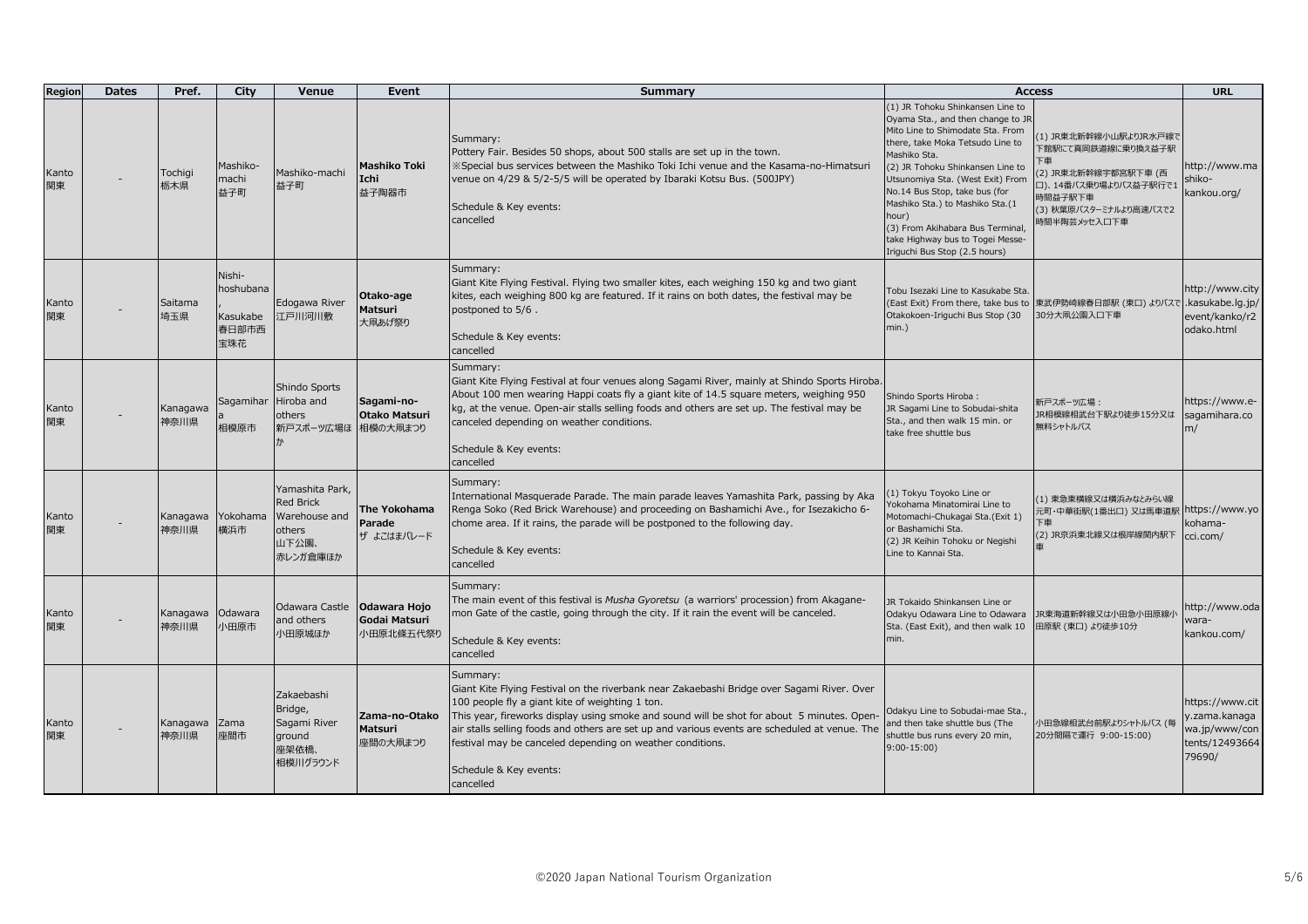| Region      | <b>Dates</b> | Pref.            | City                                            | Venue                                                                               | Event                                          | Summary                                                                                                                                                                                                                                                                                                                                                                                                                                                      | <b>Access</b>                                                                                                                                                                                                                                                                                                                                                                                                               |                                                                                                                                                   | <b>URL</b>                                                                    |
|-------------|--------------|------------------|-------------------------------------------------|-------------------------------------------------------------------------------------|------------------------------------------------|--------------------------------------------------------------------------------------------------------------------------------------------------------------------------------------------------------------------------------------------------------------------------------------------------------------------------------------------------------------------------------------------------------------------------------------------------------------|-----------------------------------------------------------------------------------------------------------------------------------------------------------------------------------------------------------------------------------------------------------------------------------------------------------------------------------------------------------------------------------------------------------------------------|---------------------------------------------------------------------------------------------------------------------------------------------------|-------------------------------------------------------------------------------|
| Kanto<br>関東 |              | Tochigi<br>栃木県   | Mashiko-<br>machi<br>益子町                        | Mashiko-machi<br>益子町                                                                | <b>Mashiko Toki</b><br>Ichi<br>益子陶器市           | Summary:<br>Pottery Fair. Besides 50 shops, about 500 stalls are set up in the town.<br>«Special bus services between the Mashiko Toki Ichi venue and the Kasama-no-Himatsuri<br>venue on 4/29 & 5/2-5/5 will be operated by Ibaraki Kotsu Bus. (500JPY)<br>Schedule & Key events:<br>cancelled                                                                                                                                                              | (1) JR Tohoku Shinkansen Line to<br>Oyama Sta., and then change to JR<br>Mito Line to Shimodate Sta. From<br>there, take Moka Tetsudo Line to<br>Mashiko Sta.<br>(2) JR Tohoku Shinkansen Line to<br>Utsunomiya Sta. (West Exit) From<br>No.14 Bus Stop, take bus (for<br>Mashiko Sta.) to Mashiko Sta.(1<br>hour)<br>(3) From Akihabara Bus Terminal,<br>take Highway bus to Togei Messe-<br>Iriguchi Bus Stop (2.5 hours) | (1) JR東北新幹線小山駅よりJR水戸線で<br>下館駅にて真岡鉄道線に乗り換え益子駅<br>2) JR東北新幹線宇都宮駅下車 (西<br>口)、14番バス乗り場よりバス益子駅行で1<br>時間益子駅下車<br>(3) 秋葉原バスターミナルより高速バスで2<br>時間半陶芸メッセ入口下車 | http://www.ma<br>shiko-<br>kankou.org/                                        |
| Kanto<br>関東 |              | Saitama<br>埼玉県   | Nishi-<br>hoshubana<br>Kasukabe<br>春日部市西<br>宝珠花 | Edogawa River<br>江戸川河川敷                                                             | Otako-age<br>Matsuri<br>大凧あげ祭り                 | Summary:<br>Giant Kite Flying Festival. Flying two smaller kites, each weighing 150 kg and two giant<br>kites, each weighing 800 kg are featured. If it rains on both dates, the festival may be<br>postponed to 5/6.<br>Schedule & Key events:<br>cancelled                                                                                                                                                                                                 | Tobu Isezaki Line to Kasukabe Sta.<br>(East Exit) From there, take bus to<br>Otakokoen-Iriguchi Bus Stop (30<br>$min.$ )                                                                                                                                                                                                                                                                                                    | 東武伊勢崎線春日部駅 (東口) よりバスで .kasukabe.lg.jp/<br>30分大凧公園入口下車                                                                                             | http://www.city<br>event/kanko/r2<br>odako.html                               |
| Kanto<br>関東 |              | Kanagawa<br>神奈川県 | Sagamihar<br>相模原市                               | Shindo Sports<br>Hiroba and<br>others<br>新戸スポーツ広場ほ                                  | Sagami-no-<br><b>Otako Matsuri</b><br>相模の大凧まつり | Summary:<br>Giant Kite Flying Festival at four venues along Sagami River, mainly at Shindo Sports Hiroba.<br>About 100 men wearing Happi coats fly a giant kite of 14.5 square meters, weighing 950<br>kg, at the venue. Open-air stalls selling foods and others are set up. The festival may be<br>canceled depending on weather conditions.<br>Schedule & Key events:<br>cancelled                                                                        | Shindo Sports Hiroba:<br>JR Sagami Line to Sobudai-shita<br>Sta., and then walk 15 min. or<br>take free shuttle bus                                                                                                                                                                                                                                                                                                         | 新戸スポーツ広場:<br>JR相模線相武台下駅より徒歩15分又は<br>無料シャトルバス                                                                                                      | https://www.e-<br>sagamihara.co<br>m/                                         |
| Kanto<br>関東 |              | Kanagawa<br>神奈川県 | Yokohama<br>横浜市                                 | Yamashita Park,<br><b>Red Brick</b><br>Warehouse and<br>others<br>山下公園、<br>赤レンガ倉庫ほか | The Yokohama<br>Parade<br>ザ よこはまパレード           | Summary:<br>International Masquerade Parade. The main parade leaves Yamashita Park, passing by Aka<br>Renga Soko (Red Brick Warehouse) and proceeding on Bashamichi Ave., for Isezakicho 6-<br>chome area. If it rains, the parade will be postponed to the following day.<br>Schedule & Key events:<br>cancelled                                                                                                                                            | 1) Tokyu Toyoko Line or<br>Yokohama Minatomirai Line to<br>Motomachi-Chukagai Sta.(Exit 1)<br>or Bashamichi Sta.<br>(2) JR Keihin Tohoku or Negishi<br>Line to Kannai Sta.                                                                                                                                                                                                                                                  | (1) 東急東横線又は横浜みなとみらい線<br>元町・中華街駅(1番出口) 又は馬車道駅<br>下重<br>(2) JR京浜東北線又は根岸線関内駅下                                                                        | https://www.yo<br>kohama-<br>cci.com/                                         |
| Kanto<br>関東 |              | Kanagawa<br>神奈川県 | Odawara<br>小田原市                                 | Odawara Castle<br>and others<br>小田原城ほか                                              | Odawara Hojo<br>Godai Matsuri<br>小田原北條五代祭り     | Summary:<br>The main event of this festival is Musha Gyoretsu (a warriors' procession) from Akagane-<br>mon Gate of the castle, going through the city. If it rain the event will be canceled.<br>Schedule & Key events:<br>cancelled                                                                                                                                                                                                                        | JR Tokaido Shinkansen Line or<br>Odakyu Odawara Line to Odawara<br>Sta. (East Exit), and then walk 10<br>min.                                                                                                                                                                                                                                                                                                               | JR東海道新幹線又は小田急小田原線小<br>田原駅 (東口) より徒歩10分                                                                                                            | http://www.oda<br>wara-<br>kankou.com/                                        |
| Kanto<br>関東 |              | Kanagawa<br>神奈川県 | Zama<br>座間市                                     | Zakaebashi<br>Bridge,<br>Sagami River<br>ground<br>座架依橋、<br>相模川グラウンド                | Zama-no-Otako<br>Matsuri<br>座間の大凧まつり           | Summary:<br>Giant Kite Flying Festival on the riverbank near Zakaebashi Bridge over Sagami River. Over<br>100 people fly a giant kite of weighting 1 ton.<br>This year, fireworks display using smoke and sound will be shot for about 5 minutes. Open-<br>air stalls selling foods and others are set up and various events are scheduled at venue. The<br>festival may be canceled depending on weather conditions.<br>Schedule & Key events:<br>cancelled | Odakyu Line to Sobudai-mae Sta.,<br>and then take shuttle bus (The<br>shuttle bus runs every 20 min,<br>$9:00-15:00$                                                                                                                                                                                                                                                                                                        | 小田急線相武台前駅よりシャトルバス (毎<br>20分間隔で運行 9:00-15:00)                                                                                                      | https://www.cit<br>y.zama.kanaga<br>wa.jp/www/con<br>tents/12493664<br>79690/ |